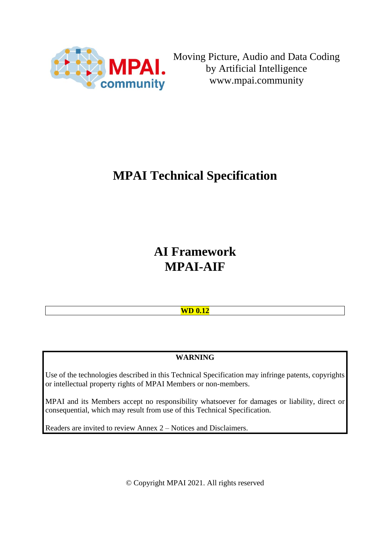

Moving Picture, Audio and Data Coding by Artificial Intelligence www.mpai.community

# **MPAI Technical Specification**

**AI Framework MPAI-AIF**

# **WD 0.12**

# **WARNING**

Use of the technologies described in this Technical Specification may infringe patents, copyrights or intellectual property rights of MPAI Members or non-members.

MPAI and its Members accept no responsibility whatsoever for damages or liability, direct or consequential, which may result from use of this Technical Specification.

Readers are invited to review Annex 2 – Notices and Disclaimers.

© Copyright MPAI 2021. All rights reserved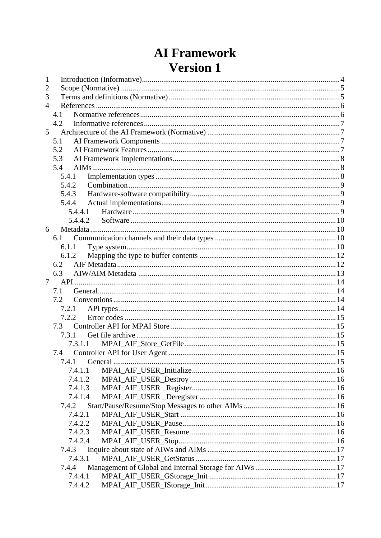# **AI Framework Version 1**

| 4.1<br>4.2<br>5.1<br>5.2<br>5.3 |                  |
|---------------------------------|------------------|
|                                 |                  |
|                                 |                  |
|                                 |                  |
|                                 |                  |
|                                 |                  |
|                                 |                  |
|                                 |                  |
|                                 |                  |
|                                 |                  |
| 5.4                             |                  |
| 5.4.1                           |                  |
| 5.4.2                           |                  |
| 5.4.3                           |                  |
| 5.4.4                           |                  |
| 5.4.4.1                         |                  |
|                                 |                  |
|                                 |                  |
| 6.1                             |                  |
| 6.1.1                           |                  |
|                                 |                  |
| 6.2                             |                  |
| 6.3                             |                  |
|                                 |                  |
| 7.1                             |                  |
| 7.2                             |                  |
| 7.2.1                           |                  |
| 7.2.2                           |                  |
| 73                              |                  |
| 7.3.1                           |                  |
|                                 |                  |
| 7.3.1.1                         |                  |
| 7.4                             |                  |
|                                 |                  |
| 7.4.1.1                         |                  |
| 7.4.1.2                         |                  |
| 7.4.1.3                         |                  |
| 7.4.1.4                         |                  |
| 7.4.2                           |                  |
| 7.4.2.1                         |                  |
| 7.4.2.2                         |                  |
| 7.4.2.3                         |                  |
| 7.4.2.4                         |                  |
| 7.4.3                           |                  |
| 7.4.3.1                         |                  |
| 7.4.4                           |                  |
| 7.4.4.1                         |                  |
|                                 | 5.4.4.2<br>6.1.2 |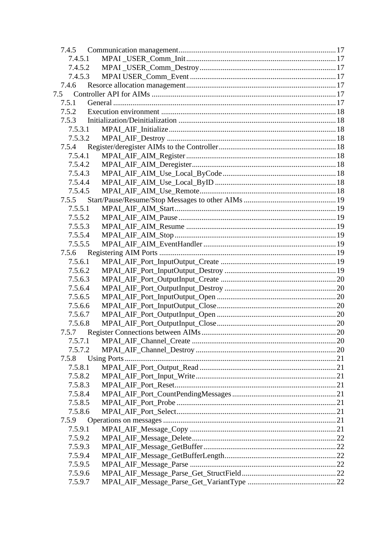| 7.4.5   |  |
|---------|--|
| 7.4.5.1 |  |
| 7.4.5.2 |  |
| 7.4.5.3 |  |
| 7.4.6   |  |
| 7.5     |  |
| 7.5.1   |  |
| 7.5.2   |  |
| 7.5.3   |  |
| 7.5.3.1 |  |
| 7.5.3.2 |  |
| 7.5.4   |  |
| 7.5.4.1 |  |
| 7.5.4.2 |  |
| 7.5.4.3 |  |
| 7.5.4.4 |  |
| 7.5.4.5 |  |
| 7.5.5   |  |
| 7.5.5.1 |  |
| 7.5.5.2 |  |
| 7.5.5.3 |  |
| 7.5.5.4 |  |
| 7.5.5.5 |  |
| 7.5.6   |  |
| 7.5.6.1 |  |
| 7.5.6.2 |  |
| 7.5.6.3 |  |
| 7.5.6.4 |  |
| 7.5.6.5 |  |
| 7.5.6.6 |  |
| 7.5.6.7 |  |
| 7.5.6.8 |  |
|         |  |
| 7.5.7.1 |  |
| 7.5.7.2 |  |
| 7.5.8   |  |
| 7.5.8.1 |  |
| 7.5.8.2 |  |
| 7.5.8.3 |  |
| 7.5.8.4 |  |
| 7.5.8.5 |  |
| 7.5.8.6 |  |
| 7.5.9   |  |
| 7.5.9.1 |  |
| 7.5.9.2 |  |
| 7.5.9.3 |  |
| 7.5.9.4 |  |
| 7.5.9.5 |  |
| 7.5.9.6 |  |
| 7.5.9.7 |  |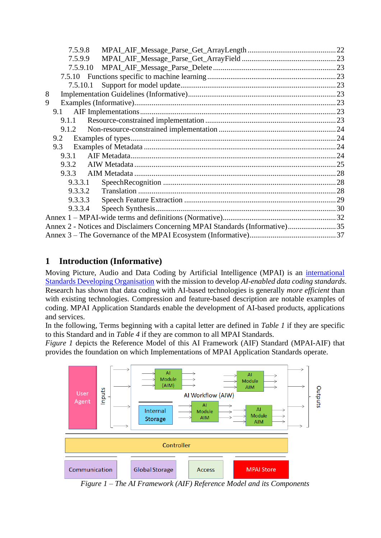| 7.5.9.8                                                                     |  |
|-----------------------------------------------------------------------------|--|
| 7.5.9.9                                                                     |  |
| 7.5.9.10                                                                    |  |
|                                                                             |  |
| 7.5.10.1                                                                    |  |
| 8                                                                           |  |
| 9                                                                           |  |
| 9.1                                                                         |  |
| 9.1.1                                                                       |  |
| 9.1.2                                                                       |  |
|                                                                             |  |
| 9.3                                                                         |  |
| 9.3.1                                                                       |  |
| 9.3.2                                                                       |  |
| 9.3.3                                                                       |  |
| 9.3.3.1                                                                     |  |
| 9.3.3.2                                                                     |  |
| 9.3.3.3                                                                     |  |
| 9.3.3.4                                                                     |  |
|                                                                             |  |
| Annex 2 - Notices and Disclaimers Concerning MPAI Standards (Informative)35 |  |
|                                                                             |  |

# <span id="page-3-0"></span>**1 Introduction (Informative)**

Moving Picture, Audio and Data Coding by Artificial Intelligence (MPAI) is an *international* [Standards Developing Organisation](http://mpai.community/) with the mission to develop *AI-enabled data coding standards*. Research has shown that data coding with AI-based technologies is generally *more efficient* than with existing technologies. Compression and feature-based description are notable examples of coding. MPAI Application Standards enable the development of AI-based products, applications and services.

In the following, Terms beginning with a capital letter are defined in *[Table 1](#page-4-2)* if they are specific to this Standard and in *[Table 4](#page-31-1)* if they are common to all MPAI Standards.

*[Figure 1](#page-3-1)* depicts the Reference Model of this AI Framework (AIF) Standard (MPAI-AIF) that provides the foundation on which Implementations of MPAI Application Standards operate.



<span id="page-3-1"></span>*Figure 1 – The AI Framework (AIF) Reference Model and its Components*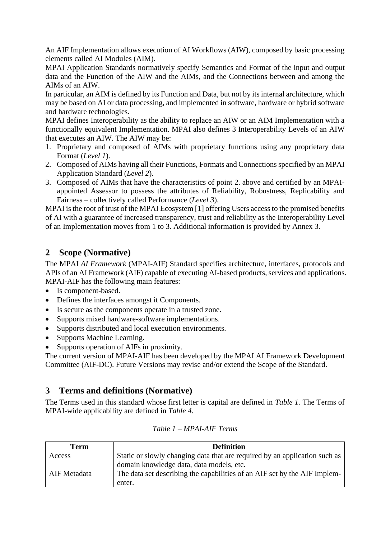An AIF Implementation allows execution of AI Workflows (AIW), composed by basic processing elements called AI Modules (AIM).

MPAI Application Standards normatively specify Semantics and Format of the input and output data and the Function of the AIW and the AIMs, and the Connections between and among the AIMs of an AIW.

In particular, an AIM is defined by its Function and Data, but not by its internal architecture, which may be based on AI or data processing, and implemented in software, hardware or hybrid software and hardware technologies.

MPAI defines Interoperability as the ability to replace an AIW or an AIM Implementation with a functionally equivalent Implementation. MPAI also defines 3 Interoperability Levels of an AIW that executes an AIW. The AIW may be:

- 1. Proprietary and composed of AIMs with proprietary functions using any proprietary data Format (*Level 1*).
- 2. Composed of AIMs having all their Functions, Formats and Connections specified by an MPAI Application Standard (*Level 2*).
- 3. Composed of AIMs that have the characteristics of point 2. above and certified by an MPAIappointed Assessor to possess the attributes of Reliability, Robustness, Replicability and Fairness – collectively called Performance (*Level 3*).

MPAI is the root of trust of the MPAI Ecosystem [\[1\]](#page-5-2) offering Users access to the promised benefits of AI with a guarantee of increased transparency, trust and reliability as the Interoperability Level of an Implementation moves from 1 to 3. Additional information is provided by Annex 3.

# <span id="page-4-0"></span>**2 Scope (Normative)**

The MPAI *AI Framework* (MPAI-AIF) Standard specifies architecture, interfaces, protocols and APIs of an AI Framework (AIF) capable of executing AI-based products, services and applications. MPAI-AIF has the following main features:

- Is component-based.
- Defines the interfaces amongst it Components.
- Is secure as the components operate in a trusted zone.
- Supports mixed hardware-software implementations.
- Supports distributed and local execution environments.
- Supports Machine Learning.
- Supports operation of AIFs in proximity.

The current version of MPAI-AIF has been developed by the MPAI AI Framework Development Committee (AIF-DC). Future Versions may revise and/or extend the Scope of the Standard.

# <span id="page-4-1"></span>**3 Terms and definitions (Normative)**

The Terms used in this standard whose first letter is capital are defined in *Table 1.* The Terms of MPAI-wide applicability are defined in *[Table 4](#page-31-1)*.

<span id="page-4-2"></span>

| Term         | <b>Definition</b>                                                          |
|--------------|----------------------------------------------------------------------------|
| Access       | Static or slowly changing data that are required by an application such as |
|              | domain knowledge data, data models, etc.                                   |
| AIF Metadata | The data set describing the capabilities of an AIF set by the AIF Implem-  |
|              | enter.                                                                     |

*Table 1 – MPAI-AIF Terms*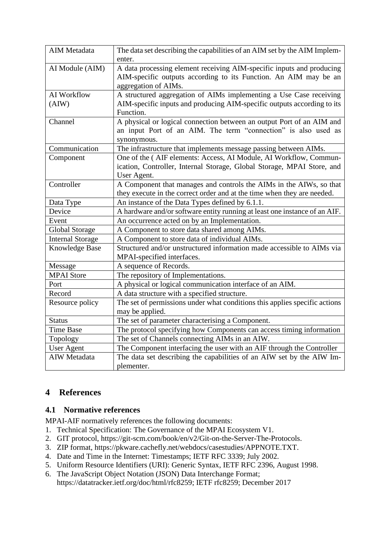| AIM Metadata            | The data set describing the capabilities of an AIM set by the AIM Implem-  |
|-------------------------|----------------------------------------------------------------------------|
|                         | enter.                                                                     |
| AI Module (AIM)         | A data processing element receiving AIM-specific inputs and producing      |
|                         | AIM-specific outputs according to its Function. An AIM may be an           |
|                         | aggregation of AIMs.                                                       |
| AI Workflow             | A structured aggregation of AIMs implementing a Use Case receiving         |
| (AIW)                   | AIM-specific inputs and producing AIM-specific outputs according to its    |
|                         | Function.                                                                  |
| Channel                 | A physical or logical connection between an output Port of an AIM and      |
|                         | an input Port of an AIM. The term "connection" is also used as             |
|                         | synonymous.                                                                |
| Communication           | The infrastructure that implements message passing between AIMs.           |
| Component               | One of the (AIF elements: Access, AI Module, AI Workflow, Commun-          |
|                         | ication, Controller, Internal Storage, Global Storage, MPAI Store, and     |
|                         | User Agent.                                                                |
| Controller              | A Component that manages and controls the AIMs in the AIWs, so that        |
|                         | they execute in the correct order and at the time when they are needed.    |
| Data Type               | An instance of the Data Types defined by 6.1.1.                            |
| Device                  | A hardware and/or software entity running at least one instance of an AIF. |
| Event                   | An occurrence acted on by an Implementation.                               |
| Global Storage          | A Component to store data shared among AIMs.                               |
| <b>Internal Storage</b> | A Component to store data of individual AIMs.                              |
| Knowledge Base          | Structured and/or unstructured information made accessible to AIMs via     |
|                         | MPAI-specified interfaces.                                                 |
| Message                 | A sequence of Records.                                                     |
| <b>MPAI</b> Store       | The repository of Implementations.                                         |
| Port                    | A physical or logical communication interface of an AIM.                   |
| Record                  | A data structure with a specified structure.                               |
| Resource policy         | The set of permissions under what conditions this applies specific actions |
|                         | may be applied.                                                            |
| <b>Status</b>           | The set of parameter characterising a Component.                           |
| <b>Time Base</b>        | The protocol specifying how Components can access timing information       |
| Topology                | The set of Channels connecting AIMs in an AIW.                             |
| <b>User Agent</b>       | The Component interfacing the user with an AIF through the Controller      |
| AIW Metadata            | The data set describing the capabilities of an AIW set by the AIW Im-      |
|                         | plementer.                                                                 |

# <span id="page-5-0"></span>**4 References**

# <span id="page-5-1"></span>**4.1 Normative references**

MPAI-AIF normatively references the following documents:

- <span id="page-5-2"></span>1. Technical Specification: The Governance of the MPAI Ecosystem V1.
- <span id="page-5-4"></span>2. GIT protocol, https://git-scm.com/book/en/v2/Git-on-the-Server-The-Protocols.
- <span id="page-5-5"></span>3. ZIP format, https://pkware.cachefly.net/webdocs/casestudies/APPNOTE.TXT.
- 4. Date and Time in the Internet: Timestamps; IETF RFC 3339; July 2002.
- <span id="page-5-3"></span>5. Uniform Resource Identifiers (URI): Generic Syntax, IETF RFC 2396, August 1998.
- 6. The JavaScript Object Notation (JSON) Data Interchange Format; https://datatracker.ietf.org/doc/html/rfc8259; IETF rfc8259; December 2017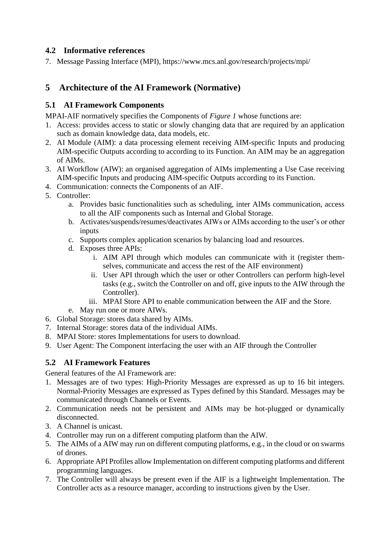## <span id="page-6-0"></span>**4.2 Informative references**

7. Message Passing Interface (MPI), https://www.mcs.anl.gov/research/projects/mpi/

# <span id="page-6-1"></span>**5 Architecture of the AI Framework (Normative)**

## <span id="page-6-2"></span>**5.1 AI Framework Components**

MPAI-AIF normatively specifies the Components of *Figure 1* whose functions are:

- 1. Access: provides access to static or slowly changing data that are required by an application such as domain knowledge data, data models, etc.
- 2. AI Module (AIM): a data processing element receiving AIM-specific Inputs and producing AIM-specific Outputs according to according to its Function. An AIM may be an aggregation of AIMs.
- 3. AI Workflow (AIW): an organised aggregation of AIMs implementing a Use Case receiving AIM-specific Inputs and producing AIM-specific Outputs according to its Function.
- 4. Communication: connects the Components of an AIF.
- 5. Controller:
	- a. Provides basic functionalities such as scheduling, inter AIMs communication, access to all the AIF components such as Internal and Global Storage.
	- b. Activates/suspends/resumes/deactivates AIWs or AIMs according to the user's or other inputs
	- c. Supports complex application scenarios by balancing load and resources.
	- d. Exposes three APIs:
		- i. AIM API through which modules can communicate with it (register themselves, communicate and access the rest of the AIF environment)
		- ii. User API through which the user or other Controllers can perform high-level tasks (e.g., switch the Controller on and off, give inputs to the AIW through the Controller).
		- iii. MPAI Store API to enable communication between the AIF and the Store.
	- e. May run one or more AIWs.
- 6. Global Storage: stores data shared by AIMs.
- 7. Internal Storage: stores data of the individual AIMs.
- 8. MPAI Store: stores Implementations for users to download.
- 9. User Agent: The Component interfacing the user with an AIF through the Controller

# <span id="page-6-3"></span>**5.2 AI Framework Features**

General features of the AI Framework are:

- 1. Messages are of two types: High-Priority Messages are expressed as up to 16 bit integers. Normal-Priority Messages are expressed as Types defined by this Standard. Messages may be communicated through Channels or Events.
- 2. Communication needs not be persistent and AIMs may be hot-plugged or dynamically disconnected.
- 3. A Channel is unicast.
- 4. Controller may run on a different computing platform than the AIW.
- 5. The AIMs of a AIW may run on different computing platforms, e.g., in the cloud or on swarms of drones.
- 6. Appropriate API Profiles allow Implementation on different computing platforms and different programming languages.
- 7. The Controller will always be present even if the AIF is a lightweight Implementation. The Controller acts as a resource manager, according to instructions given by the User.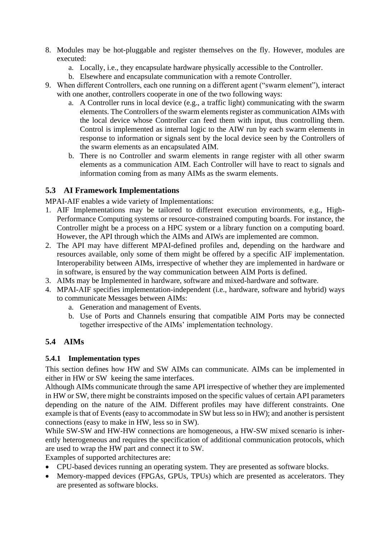- 8. Modules may be hot-pluggable and register themselves on the fly. However, modules are executed:
	- a. Locally, i.e., they encapsulate hardware physically accessible to the Controller.
	- b. Elsewhere and encapsulate communication with a remote Controller.
- 9. When different Controllers, each one running on a different agent ("swarm element"), interact with one another, controllers cooperate in one of the two following ways:
	- a. A Controller runs in local device (e.g., a traffic light) communicating with the swarm elements. The Controllers of the swarm elements register as communication AIMs with the local device whose Controller can feed them with input, thus controlling them. Control is implemented as internal logic to the AIW run by each swarm elements in response to information or signals sent by the local device seen by the Controllers of the swarm elements as an encapsulated AIM.
	- b. There is no Controller and swarm elements in range register with all other swarm elements as a communication AIM. Each Controller will have to react to signals and information coming from as many AIMs as the swarm elements.

## <span id="page-7-0"></span>**5.3 AI Framework Implementations**

MPAI-AIF enables a wide variety of Implementations:

- 1. AIF Implementations may be tailored to different execution environments, e.g., High-Performance Computing systems or resource-constrained computing boards. For instance, the Controller might be a process on a HPC system or a library function on a computing board. However, the API through which the AIMs and AIWs are implemented are common.
- 2. The API may have different MPAI-defined profiles and, depending on the hardware and resources available, only some of them might be offered by a specific AIF implementation. Interoperability between AIMs, irrespective of whether they are implemented in hardware or in software, is ensured by the way communication between AIM Ports is defined.
- 3. AIMs may be Implemented in hardware, software and mixed-hardware and software.
- 4. MPAI-AIF specifies implementation-independent (i.e., hardware, software and hybrid) ways to communicate Messages between AIMs:
	- a. Generation and management of Events.
	- b. Use of Ports and Channels ensuring that compatible AIM Ports may be connected together irrespective of the AIMs' implementation technology.

# <span id="page-7-1"></span>**5.4 AIMs**

## <span id="page-7-2"></span>**5.4.1 Implementation types**

This section defines how HW and SW AIMs can communicate. AIMs can be implemented in either in HW or SW keeing the same interfaces.

Although AIMs communicate through the same API irrespective of whether they are implemented in HW or SW, there might be constraints imposed on the specific values of certain API parameters depending on the nature of the AIM. Different profiles may have different constraints. One example is that of Events (easy to accommodate in SW but less so in HW); and another is persistent connections (easy to make in HW, less so in SW).

While SW-SW and HW-HW connections are homogeneous, a HW-SW mixed scenario is inherently heterogeneous and requires the specification of additional communication protocols, which are used to wrap the HW part and connect it to SW.

Examples of supported architectures are:

- CPU-based devices running an operating system. They are presented as software blocks.
- Memory-mapped devices (FPGAs, GPUs, TPUs) which are presented as accelerators. They are presented as software blocks.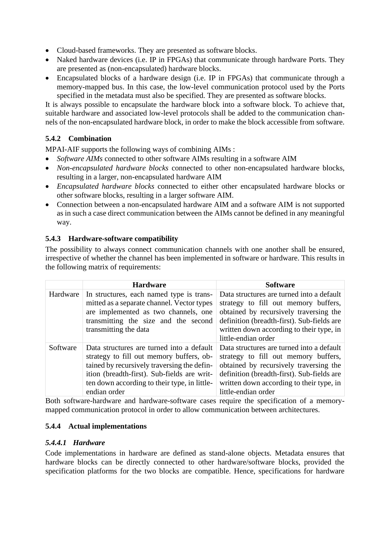- Cloud-based frameworks. They are presented as software blocks.
- Naked hardware devices (i.e. IP in FPGAs) that communicate through hardware Ports. They are presented as (non-encapsulated) hardware blocks.
- Encapsulated blocks of a hardware design (i.e. IP in FPGAs) that communicate through a memory-mapped bus. In this case, the low-level communication protocol used by the Ports specified in the metadata must also be specified. They are presented as software blocks.

It is always possible to encapsulate the hardware block into a software block. To achieve that, suitable hardware and associated low-level protocols shall be added to the communication channels of the non-encapsulated hardware block, in order to make the block accessible from software.

# <span id="page-8-0"></span>**5.4.2 Combination**

MPAI-AIF supports the following ways of combining AIMs :

- *Software AIMs* connected to other software AIMs resulting in a software AIM
- *Non-encapsulated hardware blocks* connected to other non-encapsulated hardware blocks, resulting in a larger, non-encapsulated hardware AIM
- *Encapsulated hardware blocks* connected to either other encapsulated hardware blocks or other software blocks, resulting in a larger software AIM.
- Connection between a non-encapsulated hardware AIM and a software AIM is not supported as in such a case direct communication between the AIMs cannot be defined in any meaningful way.

## <span id="page-8-1"></span>**5.4.3 Hardware-software compatibility**

The possibility to always connect communication channels with one another shall be ensured, irrespective of whether the channel has been implemented in software or hardware. This results in the following matrix of requirements:

|          | <b>Hardware</b>                                                                                                                                                                                                                                     | <b>Software</b>                                                                                                                                                                                                                              |
|----------|-----------------------------------------------------------------------------------------------------------------------------------------------------------------------------------------------------------------------------------------------------|----------------------------------------------------------------------------------------------------------------------------------------------------------------------------------------------------------------------------------------------|
| Hardware | In structures, each named type is trans-<br>mitted as a separate channel. Vector types<br>are implemented as two channels, one<br>transmitting the size and the second<br>transmitting the data                                                     | Data structures are turned into a default<br>strategy to fill out memory buffers,<br>obtained by recursively traversing the<br>definition (breadth-first). Sub-fields are<br>written down according to their type, in<br>little-endian order |
| Software | Data structures are turned into a default<br>strategy to fill out memory buffers, ob-<br>tained by recursively traversing the defin-<br>ition (breadth-first). Sub-fields are writ-<br>ten down according to their type, in little-<br>endian order | Data structures are turned into a default<br>strategy to fill out memory buffers,<br>obtained by recursively traversing the<br>definition (breadth-first). Sub-fields are<br>written down according to their type, in<br>little-endian order |

Both software-hardware and hardware-software cases require the specification of a memorymapped communication protocol in order to allow communication between architectures.

## <span id="page-8-2"></span>**5.4.4 Actual implementations**

#### <span id="page-8-3"></span>*5.4.4.1 Hardware*

Code implementations in hardware are defined as stand-alone objects. Metadata ensures that hardware blocks can be directly connected to other hardware/software blocks, provided the specification platforms for the two blocks are compatible. Hence, specifications for hardware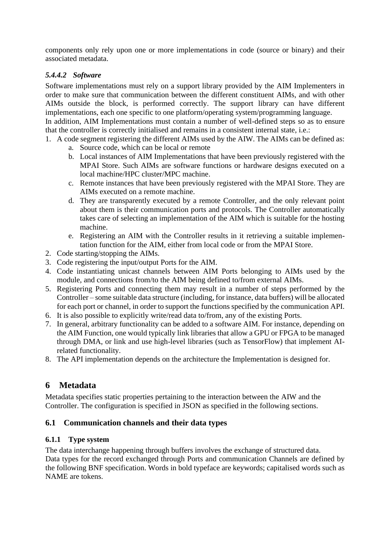components only rely upon one or more implementations in code (source or binary) and their associated metadata.

#### <span id="page-9-0"></span>*5.4.4.2 Software*

Software implementations must rely on a support library provided by the AIM Implementers in order to make sure that communication between the different constituent AIMs, and with other AIMs outside the block, is performed correctly. The support library can have different implementations, each one specific to one platform/operating system/programming language.

In addition, AIM Implementations must contain a number of well-defined steps so as to ensure that the controller is correctly initialised and remains in a consistent internal state, i.e.:

- 1. A code segment registering the different AIMs used by the AIW. The AIMs can be defined as:
	- a. Source code, which can be local or remote
	- b. Local instances of AIM Implementations that have been previously registered with the MPAI Store. Such AIMs are software functions or hardware designs executed on a local machine/HPC cluster/MPC machine.
	- c. Remote instances that have been previously registered with the MPAI Store. They are AIMs executed on a remote machine.
	- d. They are transparently executed by a remote Controller, and the only relevant point about them is their communication ports and protocols. The Controller automatically takes care of selecting an implementation of the AIM which is suitable for the hosting machine.
	- e. Registering an AIM with the Controller results in it retrieving a suitable implementation function for the AIM, either from local code or from the MPAI Store.
- 2. Code starting/stopping the AIMs.
- 3. Code registering the input/output Ports for the AIM.
- 4. Code instantiating unicast channels between AIM Ports belonging to AIMs used by the module, and connections from/to the AIM being defined to/from external AIMs.
- 5. Registering Ports and connecting them may result in a number of steps performed by the Controller – some suitable data structure (including, for instance, data buffers) will be allocated for each port or channel, in order to support the functions specified by the communication API.
- 6. It is also possible to explicitly write/read data to/from, any of the existing Ports.
- 7. In general, arbitrary functionality can be added to a software AIM. For instance, depending on the AIM Function, one would typically link libraries that allow a GPU or FPGA to be managed through DMA, or link and use high-level libraries (such as TensorFlow) that implement AIrelated functionality.
- 8. The API implementation depends on the architecture the Implementation is designed for.

# <span id="page-9-1"></span>**6 Metadata**

Metadata specifies static properties pertaining to the interaction between the AIW and the Controller. The configuration is specified in JSON as specified in the following sections.

## <span id="page-9-2"></span>**6.1 Communication channels and their data types**

#### <span id="page-9-3"></span>**6.1.1 Type system**

The data interchange happening through buffers involves the exchange of structured data. Data types for the record exchanged through Ports and communication Channels are defined by the following BNF specification. Words in bold typeface are keywords; capitalised words such as NAME are tokens.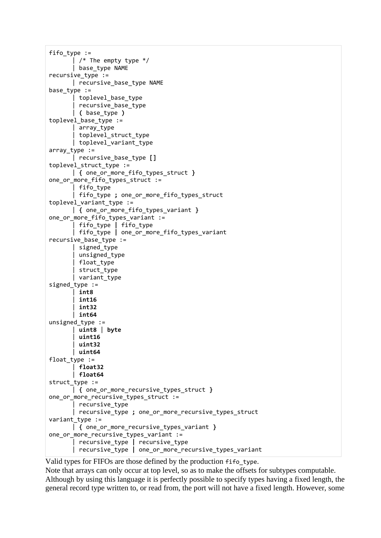```
fifo type :=\int /* The empty type */
       | base_type NAME
recursive_type :=
       | recursive_base_type NAME
base_type :=
       | toplevel_base_type
       | recursive_base_type
       | ( base_type )
toplevel base type :=
       | array_type
       | toplevel_struct_type
       | toplevel_variant_type
array type :=| recursive_base_type []
toplevel struct type :=
       | { one_or_more_fifo_types_struct }
one_or_more_fifo_types_struct :=
       | fifo_type
       | fifo_type ; one_or_more_fifo_types_struct
toplevel variant type :=
       | { one_or_more_fifo_types_variant }
one_or_more_fifo_types_variant :=
       | fifo_type | fifo_type
       | fifo_type | one_or_more_fifo_types_variant
recursive base type :=
       | signed_type
       | unsigned_type
       | float_type
       | struct_type
       | variant_type
signed type :=
        | int8
        | int16
        | int32
       | int64
unsigned type :=| uint8 | byte
        | uint16
       | uint32
       | uint64
float_type :=
        | float32
       | float64
struct type :=
       | { one_or_more_recursive_types_struct }
one or more recursive types struct :=
       | recursive_type
        | recursive_type ; one_or_more_recursive_types_struct
variant_type :=
       | { one_or_more_recursive_types_variant }
one_or_more_recursive_types_variant :=
       | recursive_type | recursive_type
       | recursive_type | one_or_more_recursive_types_variant
```
Valid types for FIFOs are those defined by the production fifo\_type.

Note that arrays can only occur at top level, so as to make the offsets for subtypes computable. Although by using this language it is perfectly possible to specify types having a fixed length, the general record type written to, or read from, the port will not have a fixed length. However, some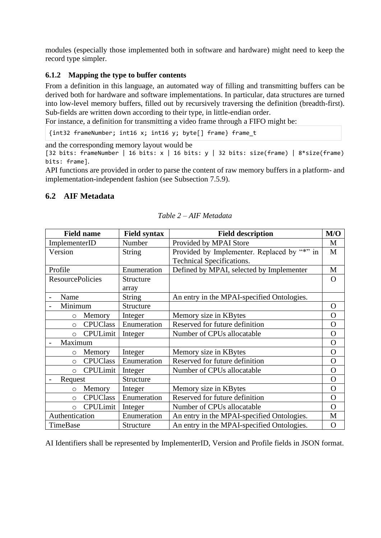modules (especially those implemented both in software and hardware) might need to keep the record type simpler.

#### <span id="page-11-0"></span>**6.1.2 Mapping the type to buffer contents**

From a definition in this language, an automated way of filling and transmitting buffers can be derived both for hardware and software implementations. In particular, data structures are turned into low-level memory buffers, filled out by recursively traversing the definition (breadth-first). Sub-fields are written down according to their type, in little-endian order.

For instance, a definition for transmitting a video frame through a FIFO might be:

{int32 frameNumber; int16 x; int16 y; byte[] frame} frame\_t

and the corresponding memory layout would be

[32 bits: frameNumber | 16 bits: x | 16 bits: y | 32 bits: size(frame) | 8\*size(frame) bits: frame].

API functions are provided in order to parse the content of raw memory buffers in a platform- and implementation-independent fashion (see Subsection [7.5.9\)](#page-20-7).

## <span id="page-11-1"></span>**6.2 AIF Metadata**

| <b>Field name</b>           | <b>Field syntax</b> | <b>Field description</b>                    | M/O            |
|-----------------------------|---------------------|---------------------------------------------|----------------|
| ImplementerID               | Number              | Provided by MPAI Store                      | M              |
| Version                     | <b>String</b>       | Provided by Implementer. Replaced by "*" in | M              |
|                             |                     | Technical Specifications.                   |                |
| Profile                     | Enumeration         | Defined by MPAI, selected by Implementer    | M              |
| <b>ResourcePolicies</b>     | Structure           |                                             | O              |
|                             | array               |                                             |                |
| Name                        | <b>String</b>       | An entry in the MPAI-specified Ontologies.  |                |
| Minimum                     | Structure           |                                             | $\Omega$       |
| Memory<br>$\circ$           | Integer             | Memory size in KBytes                       | $\Omega$       |
| <b>CPUClass</b><br>$\circ$  | Enumeration         | Reserved for future definition              | $\overline{O}$ |
| <b>CPULimit</b><br>$\circ$  | Integer             | Number of CPUs allocatable                  | $\mathbf O$    |
| Maximum                     |                     |                                             | $\mathbf{O}$   |
| Memory<br>$\circ$           | Integer             | Memory size in KBytes                       | $\Omega$       |
| <b>CPUClass</b><br>$\circ$  | Enumeration         | Reserved for future definition              | $\mathbf O$    |
| CPULimit<br>$\circ$         | Integer             | Number of CPUs allocatable                  | $\Omega$       |
| Request                     | Structure           |                                             | $\mathbf O$    |
| Memory<br>$\circ$           | Integer             | Memory size in KBytes                       | $\Omega$       |
| <b>CPUClass</b><br>$\circ$  | Enumeration         | Reserved for future definition              | $\overline{O}$ |
| <b>CPULimit</b><br>$\Omega$ | Integer             | Number of CPUs allocatable                  | $\Omega$       |
| Authentication              | Enumeration         | An entry in the MPAI-specified Ontologies.  | M              |
| TimeBase                    | Structure           | An entry in the MPAI-specified Ontologies.  | $\Omega$       |

*Table 2 – AIF Metadata*

AI Identifiers shall be represented by ImplementerID, Version and Profile fields in JSON format.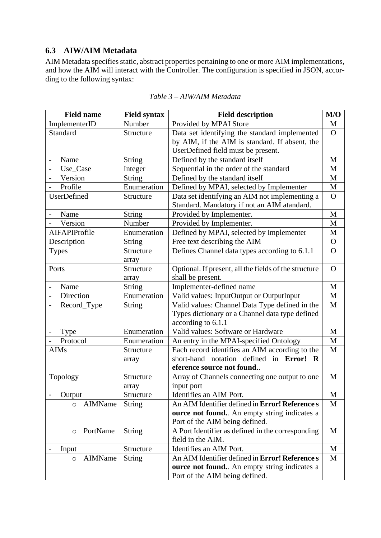## <span id="page-12-0"></span>**6.3 AIW/AIM Metadata**

AIM Metadata specifies static, abstract properties pertaining to one or more AIM implementations, and how the AIM will interact with the Controller. The configuration is specified in JSON, according to the following syntax:

| <b>Field name</b>                       | <b>Field syntax</b> | <b>Field description</b>                               | M/O            |
|-----------------------------------------|---------------------|--------------------------------------------------------|----------------|
| ImplementerID                           | Number              | Provided by MPAI Store                                 | M              |
| Standard                                | Structure           | Data set identifying the standard implemented          | $\overline{O}$ |
|                                         |                     | by AIM, if the AIM is standard. If absent, the         |                |
|                                         |                     | UserDefined field must be present.                     |                |
| Name                                    | <b>String</b>       | Defined by the standard itself                         | M              |
| Use_Case                                | Integer             | Sequential in the order of the standard                | M              |
| Version                                 | String              | Defined by the standard itself                         | $\mathbf M$    |
| Profile                                 | Enumeration         | Defined by MPAI, selected by Implementer               | $\mathbf M$    |
| UserDefined                             | Structure           | Data set identifying an AIM not implementing a         | $\overline{O}$ |
|                                         |                     | Standard. Mandatory if not an AIM atandard.            |                |
| Name                                    | <b>String</b>       | Provided by Implementer.                               | M              |
| Version                                 | Number              | Provided by Implementer.                               | M              |
| AIFAPIProfile                           | Enumeration         | Defined by MPAI, selected by implementer               | $\mathbf M$    |
| Description                             | <b>String</b>       | Free text describing the AIM                           | $\mathbf{O}$   |
| <b>Types</b>                            | Structure           | Defines Channel data types according to 6.1.1          | $\overline{O}$ |
|                                         | array               |                                                        |                |
| Ports                                   | Structure           | Optional. If present, all the fields of the structure  | $\Omega$       |
|                                         | array               | shall be present.                                      |                |
| Name                                    | <b>String</b>       | Implementer-defined name                               | $\mathbf{M}$   |
| Direction                               | Enumeration         | Valid values: InputOutput or OutputInput               | M              |
| Record_Type<br>$\overline{\phantom{0}}$ | <b>String</b>       | Valid values: Channel Data Type defined in the         | M              |
|                                         |                     | Types dictionary or a Channel data type defined        |                |
|                                         |                     | according to 6.1.1                                     |                |
| Type                                    | Enumeration         | Valid values: Software or Hardware                     | M              |
| Protocol                                | Enumeration         | An entry in the MPAI-specified Ontology                | M              |
| <b>AIMs</b>                             | Structure           | Each record identifies an AIM according to the         | M              |
|                                         | array               | short-hand notation defined in Error!<br><b>R</b>      |                |
|                                         |                     | eference source not found                              |                |
| Topology                                | Structure           | Array of Channels connecting one output to one         | M              |
|                                         | array               | input port                                             |                |
| Output                                  | Structure           | Identifies an AIM Port.                                | M              |
| AIMName<br>$\circ$                      | <b>String</b>       | An AIM Identifier defined in Error! Reference s        | M              |
|                                         |                     | ource not found An empty string indicates a            |                |
|                                         |                     | Port of the AIM being defined.                         |                |
| PortName<br>$\circ$                     | <b>String</b>       | A Port Identifier as defined in the corresponding      | M              |
|                                         |                     | field in the AIM.                                      |                |
| Input                                   | Structure           | Identifies an AIM Port.                                | M              |
| AIMName<br>$\circ$                      | <b>String</b>       | An AIM Identifier defined in <b>Error! Reference</b> s | M              |
|                                         |                     | ource not found An empty string indicates a            |                |
|                                         |                     | Port of the AIM being defined.                         |                |

*Table 3 – AIW/AIM Metadata*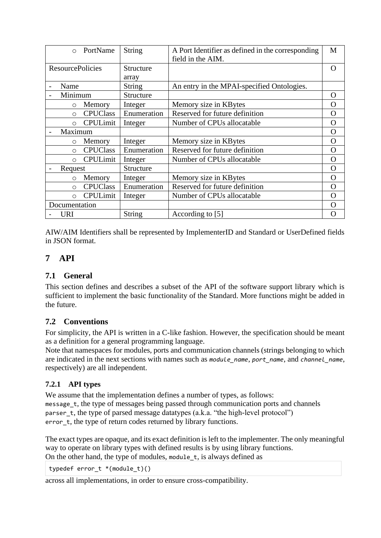| $\Omega$                | PortName        | String      | A Port Identifier as defined in the corresponding | M        |
|-------------------------|-----------------|-------------|---------------------------------------------------|----------|
|                         |                 |             | field in the AIM.                                 |          |
| <b>ResourcePolicies</b> |                 | Structure   |                                                   | 0        |
|                         |                 | array       |                                                   |          |
| Name                    |                 | String      | An entry in the MPAI-specified Ontologies.        |          |
| Minimum                 |                 | Structure   |                                                   | O        |
| $\circ$                 | Memory          | Integer     | Memory size in KBytes                             | O        |
| $\circ$                 | <b>CPUClass</b> | Enumeration | Reserved for future definition                    | $\rm{O}$ |
| $\Omega$                | CPULimit        | Integer     | Number of CPUs allocatable                        | O        |
| Maximum                 |                 |             |                                                   | O        |
| $\circ$                 | Memory          | Integer     | Memory size in KBytes                             | O        |
| $\circ$                 | <b>CPUClass</b> | Enumeration | Reserved for future definition                    | O        |
| $\bigcirc$              | <b>CPULimit</b> | Integer     | Number of CPUs allocatable                        | O        |
| Request                 |                 | Structure   |                                                   | O        |
| $\circ$                 | Memory          | Integer     | Memory size in KBytes                             | O        |
| $\circ$                 | <b>CPUClass</b> | Enumeration | Reserved for future definition                    | O        |
| $\circ$                 | <b>CPULimit</b> | Integer     | Number of CPUs allocatable                        | $\Omega$ |
| Documentation           |                 |             |                                                   | O        |
| <b>URI</b>              |                 | String      | According to [5]                                  | O        |

AIW/AIM Identifiers shall be represented by ImplementerID and Standard or UserDefined fields in JSON format.

# <span id="page-13-0"></span>**7 API**

## <span id="page-13-1"></span>**7.1 General**

This section defines and describes a subset of the API of the software support library which is sufficient to implement the basic functionality of the Standard. More functions might be added in the future.

#### <span id="page-13-2"></span>**7.2 Conventions**

For simplicity, the API is written in a C-like fashion. However, the specification should be meant as a definition for a general programming language.

Note that namespaces for modules, ports and communication channels (strings belonging to which are indicated in the next sections with names such as *module\_name*, *port\_name*, and *channel\_name*, respectively) are all independent.

## <span id="page-13-3"></span>**7.2.1 API types**

We assume that the implementation defines a number of types, as follows: message t, the type of messages being passed through communication ports and channels parser\_t, the type of parsed message datatypes (a.k.a. "the high-level protocol") error t, the type of return codes returned by library functions.

The exact types are opaque, and its exact definition is left to the implementer. The only meaningful way to operate on library types with defined results is by using library functions. On the other hand, the type of modules, module\_t, is always defined as

typedef error  $t * (module t)()$ 

across all implementations, in order to ensure cross-compatibility.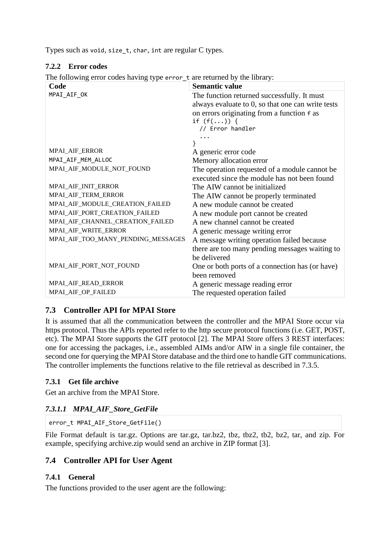<span id="page-14-0"></span>Types such as void, size\_t, char, int are regular C types.

#### **7.2.2 Error codes**

The following error codes having type error t are returned by the library:

| Code                               | <b>Semantic value</b>                             |
|------------------------------------|---------------------------------------------------|
| MPAI_AIF_OK                        | The function returned successfully. It must       |
|                                    | always evaluate to 0, so that one can write tests |
|                                    | on errors originating from a function f as        |
|                                    | if $(f())$ {                                      |
|                                    | // Error handler                                  |
|                                    |                                                   |
|                                    |                                                   |
| MPAI_AIF_ERROR                     | A generic error code                              |
| MPAI_AIF_MEM_ALLOC                 | Memory allocation error                           |
| MPAI_AIF_MODULE_NOT_FOUND          | The operation requested of a module cannot be     |
|                                    | executed since the module has not been found      |
| MPAI_AIF_INIT_ERROR                | The AIW cannot be initialized                     |
| MPAI_AIF_TERM_ERROR                | The AIW cannot be properly terminated             |
| MPAI_AIF_MODULE_CREATION_FAILED    | A new module cannot be created                    |
| MPAI_AIF_PORT_CREATION_FAILED      | A new module port cannot be created               |
| MPAI_AIF_CHANNEL_CREATION_FAILED   | A new channel cannot be created                   |
| MPAL_AIF_WRITE_ERROR               | A generic message writing error                   |
| MPAI_AIF_TOO_MANY_PENDING_MESSAGES | A message writing operation failed because        |
|                                    | there are too many pending messages waiting to    |
|                                    | be delivered                                      |
| MPAI_AIF_PORT_NOT_FOUND            | One or both ports of a connection has (or have)   |
|                                    | been removed                                      |
| MPAI_AIF_READ_ERROR                | A generic message reading error                   |
| MPAI_AIF_OP_FAILED                 | The requested operation failed                    |

# <span id="page-14-1"></span>**7.3 Controller API for MPAI Store**

It is assumed that all the communication between the controller and the MPAI Store occur via https protocol. Thus the APIs reported refer to the http secure protocol functions (i.e. GET, POST, etc). The MPAI Store supports the GIT protocol [\[2\]](#page-5-4). The MPAI Store offers 3 REST interfaces: one for accessing the packages, i.e., assembled AIMs and/or AIW in a single file container, the second one for querying the MPAI Store database and the third one to handle GIT communications. The controller implements the functions relative to the file retrieval as described in 7.3.5.

## <span id="page-14-2"></span>**7.3.1 Get file archive**

<span id="page-14-3"></span>Get an archive from the MPAI Store.

## *7.3.1.1 MPAI\_AIF\_Store\_GetFile*

error\_t MPAI\_AIF\_Store\_GetFile()

File Format default is tar.gz. Options are tar.gz, tar.bz2, tbz, tbz2, tb2, bz2, tar, and zip. For example, specifying archive.zip would send an archive in ZIP format [\[3\]](#page-5-5).

## <span id="page-14-4"></span>**7.4 Controller API for User Agent**

#### <span id="page-14-5"></span>**7.4.1 General**

The functions provided to the user agent are the following: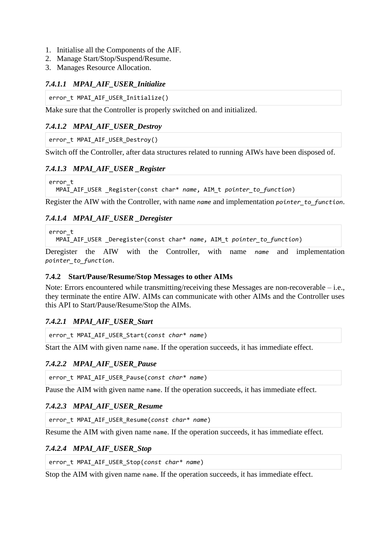- 1. Initialise all the Components of the AIF.
- 2. Manage Start/Stop/Suspend/Resume.
- 3. Manages Resource Allocation.

#### <span id="page-15-0"></span>*7.4.1.1 MPAI\_AIF\_USER\_Initialize*

error t MPAI AIF USER Initialize()

Make sure that the Controller is properly switched on and initialized.

## <span id="page-15-1"></span>*7.4.1.2 MPAI\_AIF\_USER\_Destroy*

error t MPAI AIF USER Destroy()

<span id="page-15-2"></span>Switch off the Controller, after data structures related to running AIWs have been disposed of.

#### *7.4.1.3 MPAI\_AIF\_USER \_Register*

```
error_t
   MPAI_AIF_USER _Register(const char* name, AIM_t pointer_to_function)
```
Register the AIW with the Controller, with name *name* and implementation *pointer\_to\_function*.

#### <span id="page-15-3"></span>*7.4.1.4 MPAI\_AIF\_USER \_Deregister*

error\_t

MPAI\_AIF\_USER \_Deregister(const char\* *name*, AIM\_t *pointer\_to\_function*)

Deregister the AIW with the Controller, with name *name* and implementation *pointer\_to\_function*.

#### <span id="page-15-4"></span>**7.4.2 Start/Pause/Resume/Stop Messages to other AIMs**

Note: Errors encountered while transmitting/receiving these Messages are non-recoverable – i.e., they terminate the entire AIW. AIMs can communicate with other AIMs and the Controller uses this API to Start/Pause/Resume/Stop the AIMs.

#### <span id="page-15-5"></span>*7.4.2.1 MPAI\_AIF\_USER\_Start*

error\_t MPAI\_AIF\_USER\_Start(*const char\* name*)

<span id="page-15-6"></span>Start the AIM with given name name. If the operation succeeds, it has immediate effect.

#### *7.4.2.2 MPAI\_AIF\_USER\_Pause*

error\_t MPAI\_AIF\_USER\_Pause(*const char\* name*)

<span id="page-15-7"></span>Pause the AIM with given name name. If the operation succeeds, it has immediate effect.

#### *7.4.2.3 MPAI\_AIF\_USER\_Resume*

```
error_t MPAI_AIF_USER_Resume(const char* name)
```
<span id="page-15-8"></span>Resume the AIM with given name name. If the operation succeeds, it has immediate effect.

#### *7.4.2.4 MPAI\_AIF\_USER\_Stop*

error\_t MPAI\_AIF\_USER\_Stop(*const char\* name*)

Stop the AIM with given name name. If the operation succeeds, it has immediate effect.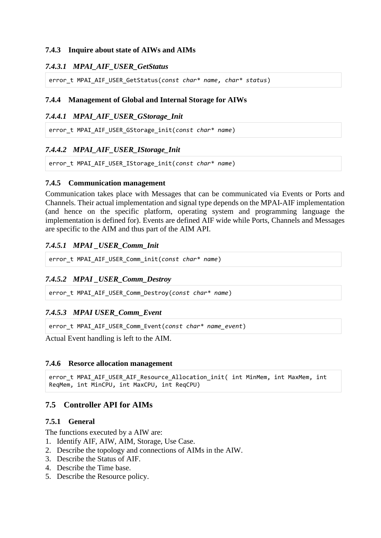#### <span id="page-16-0"></span>**7.4.3 Inquire about state of AIWs and AIMs**

#### <span id="page-16-1"></span>*7.4.3.1 MPAI\_AIF\_USER\_GetStatus*

error\_t MPAI\_AIF\_USER\_GetStatus(*const char\* name, char\* status*)

#### <span id="page-16-2"></span>**7.4.4 Management of Global and Internal Storage for AIWs**

#### <span id="page-16-3"></span>*7.4.4.1 MPAI\_AIF\_USER\_GStorage\_Init*

error\_t MPAI\_AIF\_USER\_GStorage\_init(*const char\* name*)

#### <span id="page-16-4"></span>*7.4.4.2 MPAI\_AIF\_USER\_IStorage\_Init*

error\_t MPAI\_AIF\_USER\_IStorage\_init(*const char\* name*)

#### <span id="page-16-5"></span>**7.4.5 Communication management**

Communication takes place with Messages that can be communicated via Events or Ports and Channels. Their actual implementation and signal type depends on the MPAI-AIF implementation (and hence on the specific platform, operating system and programming language the implementation is defined for). Events are defined AIF wide while Ports, Channels and Messages are specific to the AIM and thus part of the AIM API.

#### <span id="page-16-6"></span>*7.4.5.1 MPAI \_USER\_Comm\_Init*

error\_t MPAI\_AIF\_USER\_Comm\_init(*const char\* name*)

#### <span id="page-16-7"></span>*7.4.5.2 MPAI \_USER\_Comm\_Destroy*

error\_t MPAI\_AIF\_USER\_Comm\_Destroy(*const char\* name*)

#### <span id="page-16-8"></span>*7.4.5.3 MPAI USER\_Comm\_Event*

error\_t MPAI\_AIF\_USER\_Comm\_Event(*const char\* name\_event*)

Actual Event handling is left to the AIM.

#### <span id="page-16-9"></span>**7.4.6 Resorce allocation management**

```
error t MPAI AIF USER AIF Resource Allocation init( int MinMem, int MaxMem, int
ReqMem, int MinCPU, int MaxCPU, int ReqCPU)
```
## <span id="page-16-10"></span>**7.5 Controller API for AIMs**

#### <span id="page-16-11"></span>**7.5.1 General**

The functions executed by a AIW are:

- 1. Identify AIF, AIW, AIM, Storage, Use Case.
- 2. Describe the topology and connections of AIMs in the AIW.
- 3. Describe the Status of AIF.
- 4. Describe the Time base.
- 5. Describe the Resource policy.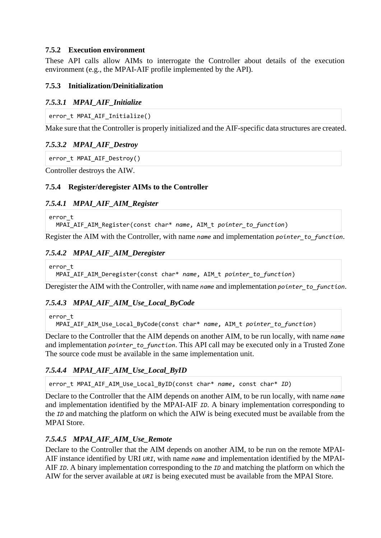#### <span id="page-17-0"></span>**7.5.2 Execution environment**

These API calls allow AIMs to interrogate the Controller about details of the execution environment (e.g., the MPAI-AIF profile implemented by the API).

#### <span id="page-17-1"></span>**7.5.3 Initialization/Deinitialization**

#### <span id="page-17-2"></span>*7.5.3.1 MPAI\_AIF\_Initialize*

```
error t MPAI AIF Initialize()
```
Make sure that the Controller is properly initialized and the AIF-specific data structures are created.

## <span id="page-17-3"></span>*7.5.3.2 MPAI\_AIF\_Destroy*

```
error_t MPAI_AIF_Destroy()
```
Controller destroys the AIW.

## <span id="page-17-4"></span>**7.5.4 Register/deregister AIMs to the Controller**

## <span id="page-17-5"></span>*7.5.4.1 MPAI\_AIF\_AIM\_Register*

```
error_t
   MPAI_AIF_AIM_Register(const char* name, AIM_t pointer_to_function)
```
Register the AIM with the Controller, with name *name* and implementation *pointer\_to\_function*.

## <span id="page-17-6"></span>*7.5.4.2 MPAI\_AIF\_AIM\_Deregister*

error\_t

MPAI\_AIF\_AIM\_Deregister(const char\* *name*, AIM\_t *pointer\_to\_function*)

Deregister the AIM with the Controller, with name *name* and implementation *pointer* to function.

## <span id="page-17-7"></span>*7.5.4.3 MPAI\_AIF\_AIM\_Use\_Local\_ByCode*

error\_t

MPAI\_AIF\_AIM\_Use\_Local\_ByCode(const char\* *name*, AIM\_t *pointer\_to\_function*)

Declare to the Controller that the AIM depends on another AIM, to be run locally, with name *name* and implementation *pointer* to function. This API call may be executed only in a Trusted Zone The source code must be available in the same implementation unit.

## <span id="page-17-8"></span>*7.5.4.4 MPAI\_AIF\_AIM\_Use\_Local\_ByID*

error\_t MPAI\_AIF\_AIM\_Use\_Local\_ByID(const char\* *name*, const char\* *ID*)

Declare to the Controller that the AIM depends on another AIM, to be run locally, with name *name* and implementation identified by the MPAI-AIF *ID*. A binary implementation corresponding to the *ID* and matching the platform on which the AIW is being executed must be available from the MPAI Store.

## <span id="page-17-9"></span>*7.5.4.5 MPAI\_AIF\_AIM\_Use\_Remote*

Declare to the Controller that the AIM depends on another AIM, to be run on the remote MPAI-AIF instance identified by URI *URI*, with name *name* and implementation identified by the MPAI-AIF *ID*. A binary implementation corresponding to the *ID* and matching the platform on which the AIW for the server available at *URI* is being executed must be available from the MPAI Store.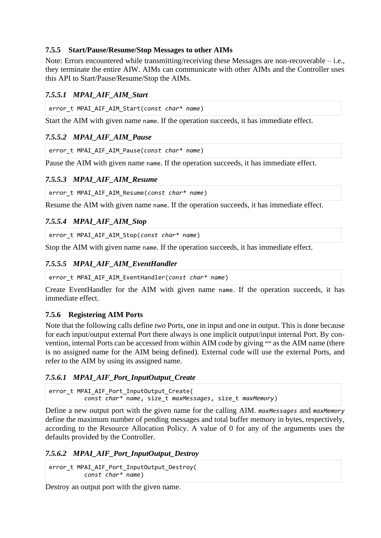#### <span id="page-18-0"></span>**7.5.5 Start/Pause/Resume/Stop Messages to other AIMs**

Note: Errors encountered while transmitting/receiving these Messages are non-recoverable – i.e., they terminate the entire AIW. AIMs can communicate with other AIMs and the Controller uses this API to Start/Pause/Resume/Stop the AIMs.

## <span id="page-18-1"></span>*7.5.5.1 MPAI\_AIF\_AIM\_Start*

error\_t MPAI\_AIF\_AIM\_Start(*const char\* name*)

Start the AIM with given name name. If the operation succeeds, it has immediate effect.

## <span id="page-18-2"></span>*7.5.5.2 MPAI\_AIF\_AIM\_Pause*

```
error_t MPAI_AIF_AIM_Pause(const char* name)
```
Pause the AIM with given name name. If the operation succeeds, it has immediate effect.

## <span id="page-18-3"></span>*7.5.5.3 MPAI\_AIF\_AIM\_Resume*

error\_t MPAI\_AIF\_AIM\_Resume(*const char\* name*)

Resume the AIM with given name name. If the operation succeeds, it has immediate effect.

## <span id="page-18-4"></span>*7.5.5.4 MPAI\_AIF\_AIM\_Stop*

error\_t MPAI\_AIF\_AIM\_Stop(*const char\* name*)

Stop the AIM with given name name. If the operation succeeds, it has immediate effect.

## <span id="page-18-5"></span>*7.5.5.5 MPAI\_AIF\_AIM\_EventHandler*

```
error_t MPAI_AIF_AIM_EventHandler(const char* name)
```
Create EventHandler for the AIM with given name name. If the operation succeeds, it has immediate effect.

## <span id="page-18-6"></span>**7.5.6 Registering AIM Ports**

Note that the following calls define *two* Ports, one in input and one in output. This is done because for each input/output external Port there always is one implicit output/input internal Port. By convention, internal Ports can be accessed from within AIM code by giving "" as the AIM name (there is no assigned name for the AIM being defined). External code will use the external Ports, and refer to the AIM by using its assigned name.

## <span id="page-18-7"></span>*7.5.6.1 MPAI\_AIF\_Port\_InputOutput\_Create*

```
error_t MPAI_AIF_Port_InputOutput_Create(
           const char* name, size_t maxMessages, size_t maxMemory)
```
Define a new output port with the given name for the calling AIM. *maxMessages* and *maxMemory* define the maximum number of pending messages and total buffer memory in bytes, respectively, according to the Resource Allocation Policy. A value of 0 for any of the arguments uses the defaults provided by the Controller.

#### <span id="page-18-8"></span>*7.5.6.2 MPAI\_AIF\_Port\_InputOutput\_Destroy*

error\_t MPAI\_AIF\_Port\_InputOutput\_Destroy( *const char\* name*)

Destroy an output port with the given name.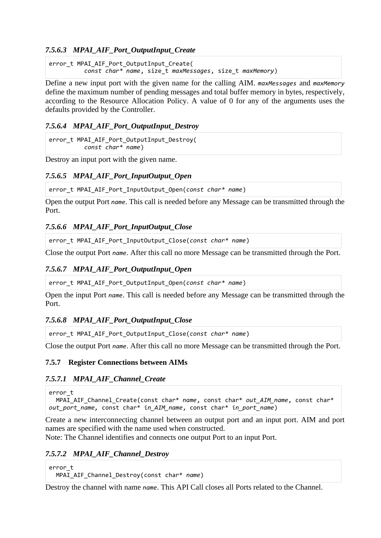#### <span id="page-19-0"></span>*7.5.6.3 MPAI\_AIF\_Port\_OutputInput\_Create*

error t MPAI AIF Port OutputInput Create( *const char\* name*, size\_t *maxMessages*, size\_t *maxMemory*)

Define a new input port with the given name for the calling AIM. *maxMessages* and *maxMemory* define the maximum number of pending messages and total buffer memory in bytes, respectively, according to the Resource Allocation Policy. A value of 0 for any of the arguments uses the defaults provided by the Controller.

#### <span id="page-19-1"></span>*7.5.6.4 MPAI\_AIF\_Port\_OutputInput\_Destroy*

error t MPAI AIF Port OutputInput Destroy( *const char\* name*)

<span id="page-19-2"></span>Destroy an input port with the given name.

#### *7.5.6.5 MPAI\_AIF\_Port\_InputOutput\_Open*

error\_t MPAI\_AIF\_Port\_InputOutput\_Open(*const char\* name*)

Open the output Port *name*. This call is needed before any Message can be transmitted through the Port.

#### <span id="page-19-3"></span>*7.5.6.6 MPAI\_AIF\_Port\_InputOutput\_Close*

error\_t MPAI\_AIF\_Port\_InputOutput\_Close(*const char\* name*)

<span id="page-19-4"></span>Close the output Port *name*. After this call no more Message can be transmitted through the Port.

#### *7.5.6.7 MPAI\_AIF\_Port\_OutputInput\_Open*

error\_t MPAI\_AIF\_Port\_OutputInput\_Open(*const char\* name*)

Open the input Port *name*. This call is needed before any Message can be transmitted through the Port.

#### <span id="page-19-5"></span>*7.5.6.8 MPAI\_AIF\_Port\_OutputInput\_Close*

error\_t MPAI\_AIF\_Port\_OutputInput\_Close(*const char\* name*)

Close the output Port *name*. After this call no more Message can be transmitted through the Port.

#### <span id="page-19-6"></span>**7.5.7 Register Connections between AIMs**

#### <span id="page-19-7"></span>*7.5.7.1 MPAI\_AIF\_Channel\_Create*

```
error_t
   MPAI_AIF_Channel_Create(const char* name, const char* out_AIM_name, const char*
out_port_name, const char* in_AIM_name, const char* in_port_name)
```
Create a new interconnecting channel between an output port and an input port. AIM and port names are specified with the name used when constructed.

<span id="page-19-8"></span>Note: The Channel identifies and connects one output Port to an input Port.

#### *7.5.7.2 MPAI\_AIF\_Channel\_Destroy*

```
error_t
   MPAI_AIF_Channel_Destroy(const char* name)
```
Destroy the channel with name *name*. This API Call closes all Ports related to the Channel.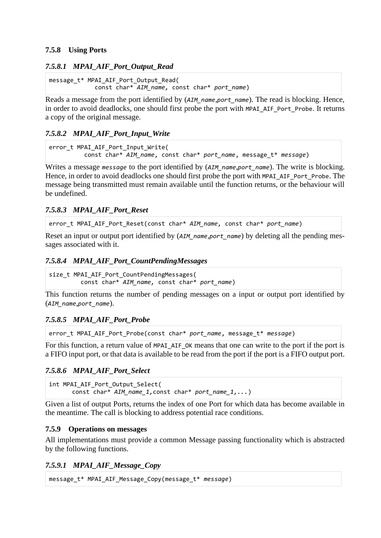#### <span id="page-20-0"></span>**7.5.8 Using Ports**

#### <span id="page-20-1"></span>*7.5.8.1 MPAI\_AIF\_Port\_Output\_Read*

message\_t\* MPAI\_AIF\_Port\_Output\_Read( const char\* *AIM\_name,* const char\* *port\_name*)

Reads a message from the port identified by (*AIM\_name*,*port\_name*). The read is blocking. Hence, in order to avoid deadlocks, one should first probe the port with MPAI\_AIF\_Port\_Probe. It returns a copy of the original message.

#### <span id="page-20-2"></span>*7.5.8.2 MPAI\_AIF\_Port\_Input\_Write*

```
error_t MPAI_AIF_Port_Input_Write(
           const char* AIM_name, const char* port_name, message_t* message)
```
Writes a message *message* to the port identified by (AIM name,*port* name). The write is blocking. Hence, in order to avoid deadlocks one should first probe the port with MPAI\_AIF\_Port\_Probe. The message being transmitted must remain available until the function returns, or the behaviour will be undefined.

#### <span id="page-20-3"></span>*7.5.8.3 MPAI\_AIF\_Port\_Reset*

error t MPAI\_AIF\_Port\_Reset(const char\* *AIM\_name, const char\* port\_name*)

Reset an input or output port identified by (*AIM\_name,port\_name*) by deleting all the pending messages associated with it.

#### <span id="page-20-4"></span>*7.5.8.4 MPAI\_AIF\_Port\_CountPendingMessages*

```
size_t MPAI_AIF_Port_CountPendingMessages(
          const char* AIM_name, const char* port_name)
```
This function returns the number of pending messages on a input or output port identified by (*AIM\_name*,*port\_name*).

#### <span id="page-20-5"></span>*7.5.8.5 MPAI\_AIF\_Port\_Probe*

error t MPAI AIF Port Probe(const char\* *port name*, message t\* *message*)

For this function, a return value of MPAI\_AIF\_OK means that one can write to the port if the port is a FIFO input port, or that data is available to be read from the port if the port is a FIFO output port.

#### <span id="page-20-6"></span>*7.5.8.6 MPAI\_AIF\_Port\_Select*

```
int MPAI_AIF_Port_Output_Select(
      const char* AIM_name_1,const char* port_name_1,...)
```
Given a list of output Ports, returns the index of one Port for which data has become available in the meantime. The call is blocking to address potential race conditions.

#### <span id="page-20-7"></span>**7.5.9 Operations on messages**

All implementations must provide a common Message passing functionality which is abstracted by the following functions.

#### <span id="page-20-8"></span>*7.5.9.1 MPAI\_AIF\_Message\_Copy*

```
message_t* MPAI_AIF_Message_Copy(message_t* message)
```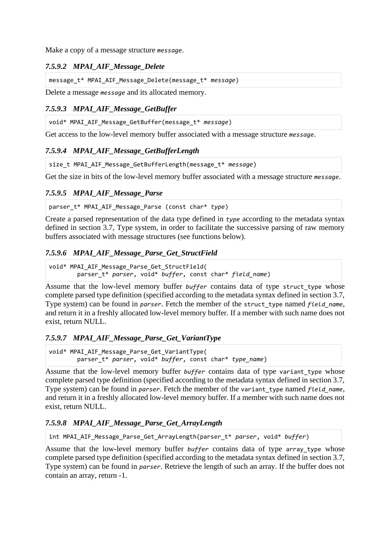<span id="page-21-0"></span>Make a copy of a message structure *message*.

#### *7.5.9.2 MPAI\_AIF\_Message\_Delete*

message\_t\* MPAI\_AIF\_Message\_Delete(message\_t\* *message*)

Delete a message *message* and its allocated memory.

## <span id="page-21-1"></span>*7.5.9.3 MPAI\_AIF\_Message\_GetBuffer*

void\* MPAI\_AIF\_Message\_GetBuffer(message\_t\* *message*)

<span id="page-21-2"></span>Get access to the low-level memory buffer associated with a message structure *message*.

## *7.5.9.4 MPAI\_AIF\_Message\_GetBufferLength*

```
size t MPAI AIF Message GetBufferLength(message t* message)
```
Get the size in bits of the low-level memory buffer associated with a message structure *message*.

## <span id="page-21-3"></span>*7.5.9.5 MPAI\_AIF\_Message\_Parse*

parser\_t\* MPAI\_AIF\_Message\_Parse (const char\* *type*)

Create a parsed representation of the data type defined in *type* according to the metadata syntax defined in section 3.7, Type system, in order to facilitate the successive parsing of raw memory buffers associated with message structures (see functions below).

## <span id="page-21-4"></span>*7.5.9.6 MPAI\_AIF\_Message\_Parse\_Get\_StructField*

void\* MPAI AIF Message Parse Get StructField( parser\_t\* *parser*, void\* *buffer*, const char\* *field\_name*)

Assume that the low-level memory buffer *buffer* contains data of type struct type whose complete parsed type definition (specified according to the metadata syntax defined in section 3.7, Type system) can be found in *parser*. Fetch the member of the struct\_type named *field\_name*, and return it in a freshly allocated low-level memory buffer. If a member with such name does not exist, return NULL.

#### <span id="page-21-5"></span>*7.5.9.7 MPAI\_AIF\_Message\_Parse\_Get\_VariantType*

void\* MPAI\_AIF\_Message\_Parse\_Get\_VariantType( parser\_t\* *parser*, void\* *buffer*, const char\* *type\_name*)

Assume that the low-level memory buffer *buffer* contains data of type variant type whose complete parsed type definition (specified according to the metadata syntax defined in section 3.7, Type system) can be found in *parser*. Fetch the member of the variant\_type named *field\_name*, and return it in a freshly allocated low-level memory buffer. If a member with such name does not exist, return NULL.

## <span id="page-21-6"></span>*7.5.9.8 MPAI\_AIF\_Message\_Parse\_Get\_ArrayLength*

int MPAI\_AIF\_Message\_Parse\_Get\_ArrayLength(parser\_t\* *parser*, void\* *buffer*)

Assume that the low-level memory buffer *buffer* contains data of type array type whose complete parsed type definition (specified according to the metadata syntax defined in section 3.7, Type system) can be found in *parser*. Retrieve the length of such an array. If the buffer does not contain an array, return -1.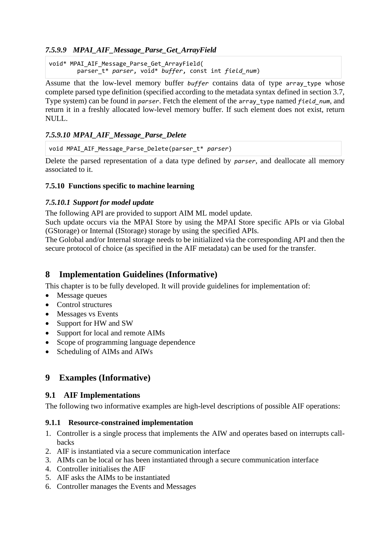## <span id="page-22-0"></span>*7.5.9.9 MPAI\_AIF\_Message\_Parse\_Get\_ArrayField*

void\* MPAI AIF Message Parse Get ArrayField( parser\_t\* *parser*, void\* *buffer*, const int *field\_num*)

Assume that the low-level memory buffer *buffer* contains data of type array type whose complete parsed type definition (specified according to the metadata syntax defined in section 3.7, Type system) can be found in *parser*. Fetch the element of the array\_type named *field\_num*, and return it in a freshly allocated low-level memory buffer. If such element does not exist, return NULL.

## <span id="page-22-1"></span>*7.5.9.10 MPAI\_AIF\_Message\_Parse\_Delete*

void MPAI\_AIF\_Message\_Parse\_Delete(parser\_t\* *parser*)

Delete the parsed representation of a data type defined by *parser*, and deallocate all memory associated to it.

## <span id="page-22-2"></span>**7.5.10 Functions specific to machine learning**

## <span id="page-22-3"></span>*7.5.10.1 Support for model update*

The following API are provided to support AIM ML model update.

Such update occurs via the MPAI Store by using the MPAI Store specific APIs or via Global (GStorage) or Internal (IStorage) storage by using the specified APIs.

The Golobal and/or Internal storage needs to be initialized via the corresponding API and then the secure protocol of choice (as specified in the AIF metadata) can be used for the transfer.

# <span id="page-22-4"></span>**8 Implementation Guidelines (Informative)**

This chapter is to be fully developed. It will provide guidelines for implementation of:

- Message queues
- Control structures
- Messages vs Events
- Support for HW and SW
- Support for local and remote AIMs
- Scope of programming language dependence
- Scheduling of AIMs and AIWs

# <span id="page-22-5"></span>**9 Examples (Informative)**

## <span id="page-22-6"></span>**9.1 AIF Implementations**

The following two informative examples are high-level descriptions of possible AIF operations:

## <span id="page-22-7"></span>**9.1.1 Resource-constrained implementation**

- 1. Controller is a single process that implements the AIW and operates based on interrupts callbacks
- 2. AIF is instantiated via a secure communication interface
- 3. AIMs can be local or has been instantiated through a secure communication interface
- 4. Controller initialises the AIF
- 5. AIF asks the AIMs to be instantiated
- 6. Controller manages the Events and Messages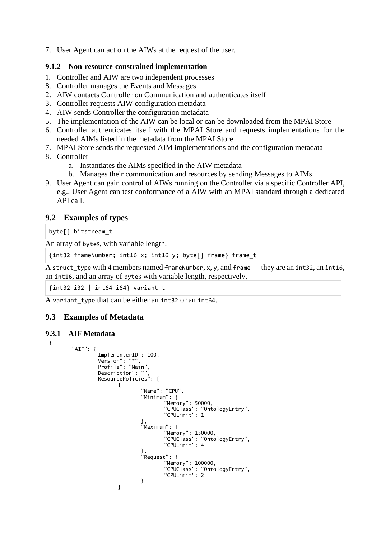<span id="page-23-0"></span>7. User Agent can act on the AIWs at the request of the user.

#### **9.1.2 Non-resource-constrained implementation**

- 1. Controller and AIW are two independent processes
- 8. Controller manages the Events and Messages
- 2. AIW contacts Controller on Communication and authenticates itself
- 3. Controller requests AIW configuration metadata
- 4. AIW sends Controller the configuration metadata
- 5. The implementation of the AIW can be local or can be downloaded from the MPAI Store
- 6. Controller authenticates itself with the MPAI Store and requests implementations for the needed AIMs listed in the metadata from the MPAI Store
- 7. MPAI Store sends the requested AIM implementations and the configuration metadata
- 8. Controller
	- a. Instantiates the AIMs specified in the AIW metadata
	- b. Manages their communication and resources by sending Messages to AIMs.
- 9. User Agent can gain control of AIWs running on the Controller via a specific Controller API, e.g., User Agent can test conformance of a AIW with an MPAI standard through a dedicated API call.

## <span id="page-23-1"></span>**9.2 Examples of types**

byte[] bitstream\_t

An array of bytes, with variable length.

```
{int32 frameNumber; int16 x; int16 y; byte[] frame} frame_t
```
A struct\_type with 4 members named frameNumber, x, y, and frame — they are an int32, an int16, an int16, and an array of bytes with variable length, respectively.

 $\{int32 \mid int64 \mid i64\}$  variant\_t

<span id="page-23-2"></span>A variant\_type that can be either an int32 or an int64.

# **9.3 Examples of Metadata**

#### <span id="page-23-3"></span>**9.3.1 AIF Metadata**

```
{
        "AIF": {
                "ImplementerID": 100, 
                "Version": "*", 
                "Profile": "Main",
                "Description": "",
                "ResourcePolicies": [
                        { 
                                "Name": "CPU",
                                "Minimum": {
                                        ...<br>"Memorv": 50000.
                                        "CPUClass": "OntologyEntry",
                                        "CPULimit": 1
                                },
                                "Maximum": {
                                        "Memory": 150000,
                                        "CPUClass": "OntologyEntry",
                                        "CPULimit": 4
                                },
                                "Request": {
                                        "Memory": 100000,
                                        "CPUClass": "OntologyEntry",
                                        "CPULimit": 2
                                }
                        }
```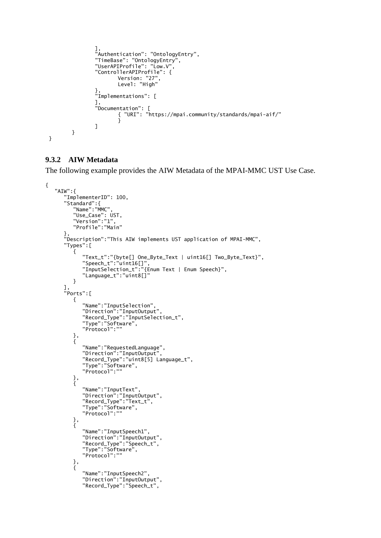```
],
                "Authentication": "OntologyEntry",
                "TimeBase": "OntologyEntry",
                "UserAPIProfile": "Low.V",
                "ControllerAPIProfile": {
                        Version: "27",
                        Level: "High"
                },
                "Implementations": [
                ],
                "Documentation": [
                       { "URI": "https://mpai.community/standards/mpai-aif/"
                        }
               ]
       }
}
```
#### <span id="page-24-0"></span>**9.3.2 AIW Metadata**

The following example provides the AIW Metadata of the MPAI-MMC UST Use Case.

```
{
   "AIW":{
     "ImplementerID": 100,
     "Standard":{
        "Name":"MMC",
 "Use_Case": UST,
 "Version":"1",
        "Profile":"Main"
 },
 "Description":"This AIW implements UST application of MPAI-MMC",
 "Types":[
\{ "Text_t":"{byte[] One_Byte_Text | uint16[] Two_Byte_Text}",
 "Speech_t":"uint16[]",
 "InputSelection_t":"{Enum Text | Enum Speech}",
          "Language_t":"uint8[]"
        }
 ],
 "Ports":[
\{ "Name":"InputSelection",
 "Direction":"InputOutput",
 "Record_Type":"InputSelection_t",
 "Type":"Software",
 "Protocol":""
        },
        {
          "Name":"RequestedLanguage",
          "Direction":"InputOutput",
 "Record_Type":"uint8[5] Language_t",
 "Type":"Software",
          "Protocol":""
        },
        {
          "Name":"InputText",
 "Direction":"InputOutput",
 "Record_Type":"Text_t",
 "Type":"Software",
 "Protocol":""
 },
\{ "Name":"InputSpeech1",
 "Direction":"InputOutput",
 "Record_Type":"Speech_t",
 "Type":"Software",
          "Protocol":""
 },
\{ "Name":"InputSpeech2",
          "Direction":"InputOutput",
          "Record_Type":"Speech_t",
```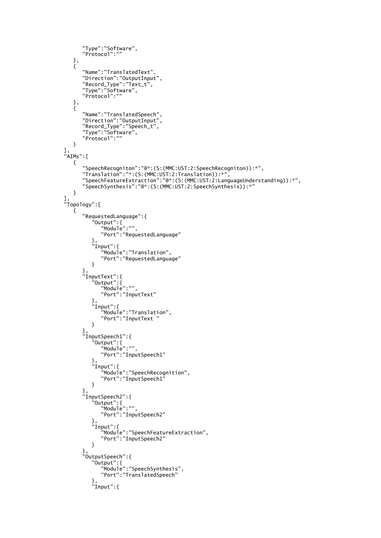```
 "Type":"Software",
         "Protocol":""
 },
\{ "Name":"TranslatedText",
 "Direction":"OutputInput",
 "Record_Type":"Text_t",
 "Type":"Software",
 "Protocol":""
 },
\overline{\mathcal{L}} "Name":"TranslatedSpeech",
 "Direction":"OutputInput",
 "Record_Type":"Speech_t",
 "Type":"Software",
         "Protocol":""
       }
 ],
 "AIMs":[
\overline{\mathcal{L}} "SpeechRecogniton":"@*:(S:(MMC:UST:2:SpeechRecogniton)):*",
 "Translation":"*:(S:(MMC:UST:2:Translation)):*",
 "SpeechFeatureExtraction":"@*:(S:(MMC:UST:2:LanguageUnderstanding)):*",
 "SpeechSynthesis":"@*:(S:(MMC:UST:2:SpeechSynthesis)):*"
       }
 ],
 "Topology":[
\{ "RequestedLanguage":{
 "Output":{
             "Module":"",
             "Port":"RequestedLanguage"
 },
 "Input":{
              "Module":"Translation",
            "Port":"RequestedLanguage"
 }
 },
 "InputText":{
 "Output":{
             "Module":"",
             "Port":"InputText"
 },
 "Input":{
 "Module":"Translation",
            "Port":"InputText "
 }
 },
 "InputSpeech1":{
 "Output":{
 "Module":"",
            "Port":"InputSpeech1"
 },
 "Input":{
 "Module":"SpeechRecognition",
            "Port":"InputSpeech1"
 }
 },
 "InputSpeech2":{
 "Output":{
          "Putspeechz<br>"Output":{<br>"Module":"",
            "Port":"InputSpeech2"
 },
 "Input":{
              "Module":"SpeechFeatureExtraction",
            "Port":"InputSpeech2"
 }
 },
 "OutputSpeech":{
 "Output":{
 "Module":"SpeechSynthesis",
            "Port":"TranslatedSpeech"
 },
 "Input":{
```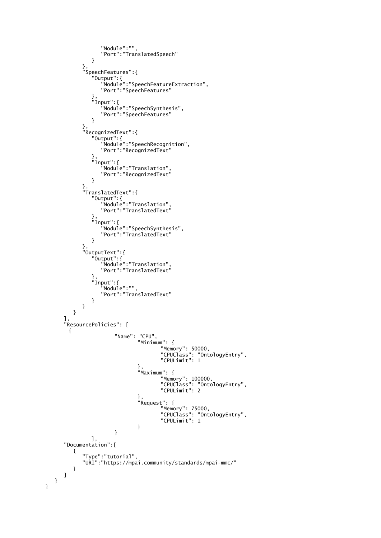```
 "Module":"",
            "Port":"TranslatedSpeech"
 }
 },
 "SpeechFeatures":{
 "Output":{
 "Module":"SpeechFeatureExtraction",
 "Port":"SpeechFeatures"
 },
 "Input":{
 "Module":"SpeechSynthesis",
             "Port":"SpeechFeatures"
 }
 },
 "RecognizedText":{
 "Output":{
 "Module":"SpeechRecognition",
             "Port":"RecognizedText"
 },
 "Input":{
 "Module":"Translation",
             "Port":"RecognizedText"
 }
 },
 "TranslatedText":{
 "Output":{
 "Module":"Translation",
             "Port":"TranslatedText"
 },
 "Input":{
 "Module":"SpeechSynthesis",
             "Port":"TranslatedText"
 }
 },
 "OutputText":{
 "Output":{
 "Module":"Translation",
             "Port":"TranslatedText"
 },
 "Input":{
              "Module":"",
             "Port":"TranslatedText"
 }
         }
       }
     ],
     "ResourcePolicies": [
     { 
                "Name": "CPU",
                     "Minimum": {
                           "Memory": 50000,
                           "CPUClass": "OntologyEntry",
                           "CPULimit": 1
                     },
                     "Maximum": {
                           "Memory": 100000,
                           "CPUClass": "OntologyEntry",
                           "CPULimit": 2
                     },
                     "Request": {
                           "Memory": 75000,
                           "CPUClass": "OntologyEntry",
                           "CPULimit": 1
                     }
                }
          ],
     "Documentation":[
       {
         "Type":"tutorial",
         "URI":"https://mpai.community/standards/mpai-mmc/"
       }
    ]
  }
```
}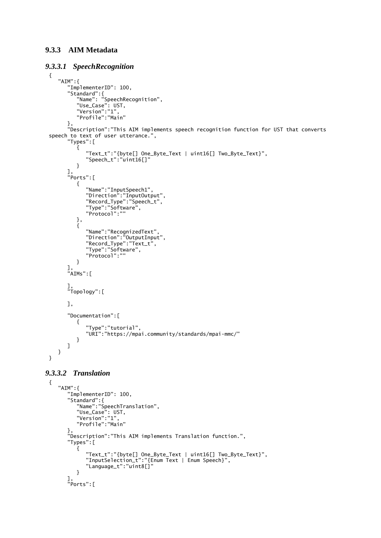#### <span id="page-27-0"></span>**9.3.3 AIM Metadata**

#### <span id="page-27-1"></span>*9.3.3.1 SpeechRecognition*

```
{
   "AIM":{
      "ImplementerID": 100,
 "Standard":{
 "Name": "SpeechRecognition",
 "Use_Case": UST,
 "Version":"1",
 "Profile":"Main"
 },
 "Description":"This AIM implements speech recognition function for UST that converts 
speech to text of user utterance.",
      "Types":[
        {
 "Text_t":"{byte[] One_Byte_Text | uint16[] Two_Byte_Text}",
 "Speech_t":"uint16[]"
        }
      ],
      "Ports":[
        {
 "Name":"InputSpeech1",
 "Direction":"InputOutput",
 "Record_Type":"Speech_t",
 "Type":"Software",
           "Protocol":""
 },
\{ "Name":"RecognizedText",
 "Direction":"OutputInput",
 "Record_Type":"Text_t",
 "Type":"Software",
           "Protocol":""
        }
 ],
 "AIMs":[
 ],
 "Topology":[
      ],
      "Documentation":[
        {
           "Type":"tutorial",
           "URI":"https://mpai.community/standards/mpai-mmc/"
        }
     ]
   }
}
```
#### <span id="page-27-2"></span>*9.3.3.2 Translation*

```
{
   "AIM":{
      "ImplementerID": 100,
 "Standard":{
 "Name":"SpeechTranslation",
 "Use_Case": UST,
 "Version":"1",
         "Profile":"Main"
 },
 "Description":"This AIM implements Translation function.",
 "Types":[
     "Types": [
 "Text_t":"{byte[] One_Byte_Text | uint16[] Two_Byte_Text}",
 "InputSelection_t":"{Enum Text | Enum Speech}",
           "Language_t":"uint8[]"
        }
      ],
      "Ports":[
```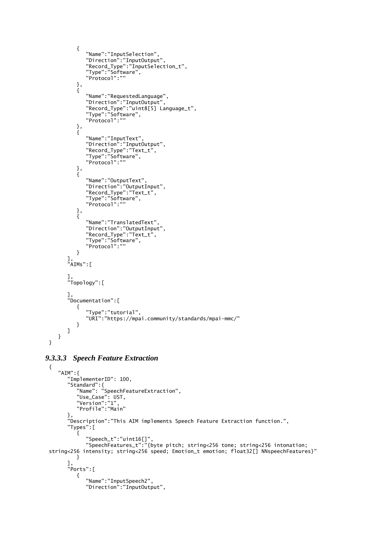```
 {
          "Name":"InputSelection",
 "Direction":"InputOutput",
 "Record_Type":"InputSelection_t",
 "Type":"Software",
 "Protocol":""
        },
        {
          "Name":"RequestedLanguage",
          "Direction":"InputOutput",
 "Record_Type":"uint8[5] Language_t",
 "Type":"Software",
          "Protocol":""
 },
\{ "Name":"InputText",
 "Direction":"InputOutput",
          "Record_Type":"Text_t",
 "Type":"Software",
 "Protocol":""
 },
\{ "Name":"OutputText",
 "Direction":"OutputInput",
 "Record_Type":"Text_t",
 "Type":"Software",
          "Protocol":""
        },
        {
          "Name":"TranslatedText",
          "Direction":"OutputInput",
          "Record_Type":"Text_t",
          "Type":"Software",
          "Protocol":""
        }
 ],
 "AIMs":[
 ],
 "Topology":[
 ],
 "Documentation":[
\{ "Type":"tutorial",
          "URI":"https://mpai.community/standards/mpai-mmc/"
        }
     ]
   }
```
#### *9.3.3.3 Speech Feature Extraction*

<span id="page-28-0"></span>}

```
{
   "AIM":{
      "ImplementerID": 100,
 "Standard":{
 "Name": "SpeechFeatureExtraction",
 "Use_Case": UST,
 "Version":"1",
        "Profile":"Main"
 },
 "Description":"This AIM implements Speech Feature Extraction function.",
      "Types":[
\{ "Speech_t":"uint16[]",
 "SpeechFeatures_t":"{byte pitch; string<256 tone; string<256 intonation; 
string<256 intensity; string<256 speed; Emotion_t emotion; float32[] NNspeechFeatures}"
        }
 ],
 "Ports":[
\{ "Name":"InputSpeech2",
           "Direction":"InputOutput",
```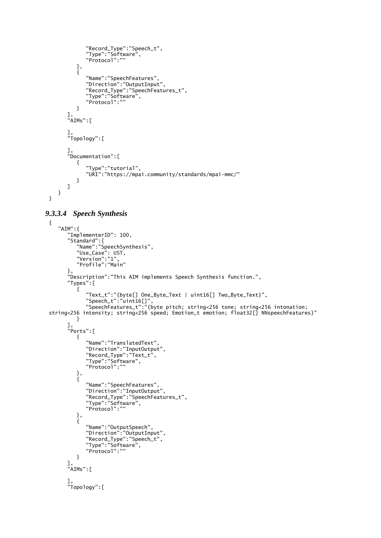```
 "Record_Type":"Speech_t",
 "Type":"Software",
           "Protocol":""
        },
        {
           "Name":"SpeechFeatures",
           "Direction":"OutputInput",
 "Record_Type":"SpeechFeatures_t",
 "Type":"Software",
           "Protocol":""
        }
 ],
 "AIMs":[
 ],
 "Topology":[
      ],
      "Documentation":[
        {
 "Type":"tutorial",
 "URI":"https://mpai.community/standards/mpai-mmc/"
        }
      ]
   }
}
```
#### <span id="page-29-0"></span>*9.3.3.4 Speech Synthesis*

```
{
   "AIM":{
     "ImplementerID": 100,
 "Standard":{
 "Name":"SpeechSynthesis",
 "Use_Case": UST,
 "Version":"1",
 "Profile":"Main"
 },
 "Description":"This AIM implements Speech Synthesis function.",
     "Types":[
\{ "Text_t":"{byte[] One_Byte_Text | uint16[] Two_Byte_Text}",
 "Speech_t":"uint16[]",
 "SpeechFeatures_t":"{byte pitch; string<256 tone; string<256 intonation; 
string<256 intensity; string<256 speed; Emotion_t emotion; float32[] NNspeechFeatures}"
 }
 ],
 "Ports":[
\{ "Name":"TranslatedText",
 "Direction":"InputOutput",
 "Record_Type":"Text_t",
 "Type":"Software",
 "Protocol":""
 },
\{ "Name":"SpeechFeatures",
 "Direction":"InputOutput",
 "Record_Type":"SpeechFeatures_t",
 "Type":"Software",
          "Protocol":""
        },
        {
 "Name":"OutputSpeech",
 "Direction":"OutputInput",
 "Record_Type":"Speech_t",
 "Type":"Software",
          "Protocol":""
        }
 ],
 "AIMs":[
 ],
 "Topology":[
```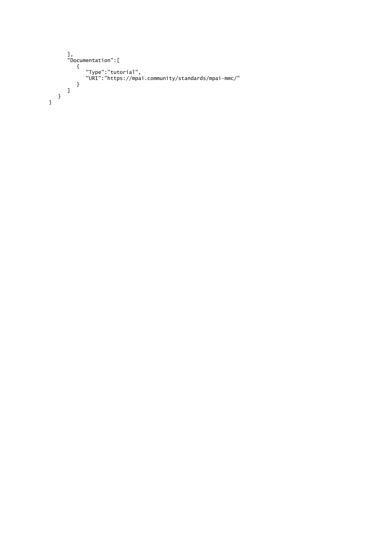```
 ],
 "Documentation":[
\{ "Type":"tutorial",
 "URI":"https://mpai.community/standards/mpai-mmc/"
 }
 ]
 }
}
```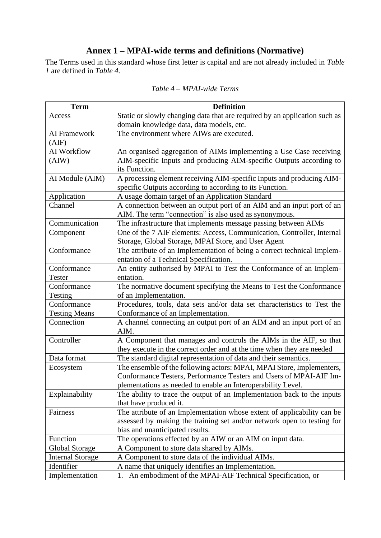# **Annex 1 – MPAI-wide terms and definitions (Normative)**

<span id="page-31-0"></span>The Terms used in this standard whose first letter is capital and are not already included in *Table 1* are defined in *[Table 4.](#page-31-1)*

<span id="page-31-1"></span>

| <b>Term</b>             | <b>Definition</b>                                                                                                                         |
|-------------------------|-------------------------------------------------------------------------------------------------------------------------------------------|
| Access                  | Static or slowly changing data that are required by an application such as                                                                |
|                         | domain knowledge data, data models, etc.                                                                                                  |
| AI Framework<br>(AIF)   | The environment where AIWs are executed.                                                                                                  |
| AI Workflow             |                                                                                                                                           |
| (AIW)                   | An organised aggregation of AIMs implementing a Use Case receiving<br>AIM-specific Inputs and producing AIM-specific Outputs according to |
|                         | its Function.                                                                                                                             |
| AI Module (AIM)         | A processing element receiving AIM-specific Inputs and producing AIM-                                                                     |
|                         | specific Outputs according to according to its Function.                                                                                  |
| Application             | A usage domain target of an Application Standard                                                                                          |
| Channel                 | A connection between an output port of an AIM and an input port of an                                                                     |
|                         | AIM. The term "connection" is also used as synonymous.                                                                                    |
| Communication           | The infrastructure that implements message passing between AIMs                                                                           |
| Component               | One of the 7 AIF elements: Access, Communication, Controller, Internal                                                                    |
|                         | Storage, Global Storage, MPAI Store, and User Agent                                                                                       |
| Conformance             | The attribute of an Implementation of being a correct technical Implem-                                                                   |
|                         | entation of a Technical Specification.                                                                                                    |
| Conformance             | An entity authorised by MPAI to Test the Conformance of an Implem-                                                                        |
| <b>Tester</b>           | entation.                                                                                                                                 |
| Conformance             | The normative document specifying the Means to Test the Conformance                                                                       |
| Testing                 | of an Implementation.                                                                                                                     |
| Conformance             | Procedures, tools, data sets and/or data set characteristics to Test the                                                                  |
| <b>Testing Means</b>    | Conformance of an Implementation.                                                                                                         |
| Connection              | A channel connecting an output port of an AIM and an input port of an                                                                     |
|                         | AIM.                                                                                                                                      |
| Controller              | A Component that manages and controls the AIMs in the AIF, so that                                                                        |
|                         | they execute in the correct order and at the time when they are needed                                                                    |
| Data format             | The standard digital representation of data and their semantics.                                                                          |
| Ecosystem               | The ensemble of the following actors: MPAI, MPAI Store, Implementers,                                                                     |
|                         | Conformance Testers, Performance Testers and Users of MPAI-AIF Im-                                                                        |
|                         | plementations as needed to enable an Interoperability Level.                                                                              |
| Explainability          | The ability to trace the output of an Implementation back to the inputs                                                                   |
|                         | that have produced it.                                                                                                                    |
| Fairness                | The attribute of an Implementation whose extent of applicability can be                                                                   |
|                         | assessed by making the training set and/or network open to testing for                                                                    |
|                         | bias and unanticipated results.                                                                                                           |
| Function                | The operations effected by an AIW or an AIM on input data.                                                                                |
| Global Storage          | A Component to store data shared by AIMs.                                                                                                 |
| <b>Internal Storage</b> | A Component to store data of the individual AIMs.                                                                                         |
| Identifier              | A name that uniquely identifies an Implementation.                                                                                        |
| Implementation          | An embodiment of the MPAI-AIF Technical Specification, or<br>1.                                                                           |

#### *Table 4 – MPAI-wide Terms*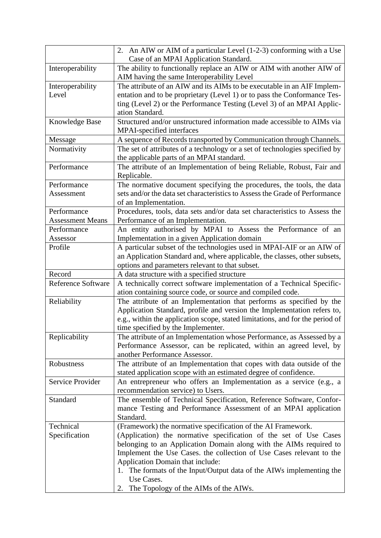|                           | 2. An AIW or AIM of a particular Level (1-2-3) conforming with a Use               |
|---------------------------|------------------------------------------------------------------------------------|
|                           | Case of an MPAI Application Standard.                                              |
| Interoperability          | The ability to functionally replace an AIW or AIM with another AIW of              |
|                           | AIM having the same Interoperability Level                                         |
| Interoperability          | The attribute of an AIW and its AIMs to be executable in an AIF Implem-            |
| Level                     | entation and to be proprietary (Level 1) or to pass the Conformance Tes-           |
|                           | ting (Level 2) or the Performance Testing (Level 3) of an MPAI Applic-             |
|                           | ation Standard.                                                                    |
| Knowledge Base            | Structured and/or unstructured information made accessible to AIMs via             |
|                           | MPAI-specified interfaces                                                          |
| Message                   | A sequence of Records transported by Communication through Channels.               |
| Normativity               | The set of attributes of a technology or a set of technologies specified by        |
|                           | the applicable parts of an MPAI standard.                                          |
| Performance               | The attribute of an Implementation of being Reliable, Robust, Fair and             |
|                           | Replicable.                                                                        |
| Performance               | The normative document specifying the procedures, the tools, the data              |
| Assessment                | sets and/or the data set characteristics to Assess the Grade of Performance        |
|                           | of an Implementation.                                                              |
| Performance               | Procedures, tools, data sets and/or data set characteristics to Assess the         |
| <b>Assessment Means</b>   | Performance of an Implementation.                                                  |
| Performance               | An entity authorised by MPAI to Assess the Performance of an                       |
| Assessor                  | Implementation in a given Application domain                                       |
| Profile                   | A particular subset of the technologies used in MPAI-AIF or an AIW of              |
|                           | an Application Standard and, where applicable, the classes, other subsets,         |
|                           | options and parameters relevant to that subset.                                    |
| Record                    | A data structure with a specified structure                                        |
| <b>Reference Software</b> | A technically correct software implementation of a Technical Specific-             |
|                           | ation containing source code, or source and compiled code.                         |
| Reliability               | The attribute of an Implementation that performs as specified by the               |
|                           | Application Standard, profile and version the Implementation refers to,            |
|                           | e.g., within the application scope, stated limitations, and for the period of      |
|                           | time specified by the Implementer.                                                 |
| Replicability             | The attribute of an Implementation whose Performance, as Assessed by a             |
|                           | Performance Assessor, can be replicated, within an agreed level, by                |
|                           | another Performance Assessor.                                                      |
| Robustness                | The attribute of an Implementation that copes with data outside of the             |
|                           | stated application scope with an estimated degree of confidence.                   |
| Service Provider          | An entrepreneur who offers an Implementation as a service (e.g., a                 |
|                           | recommendation service) to Users.                                                  |
| Standard                  | The ensemble of Technical Specification, Reference Software, Confor-               |
|                           | mance Testing and Performance Assessment of an MPAI application                    |
|                           | Standard.                                                                          |
| Technical                 | (Framework) the normative specification of the AI Framework.                       |
| Specification             | (Application) the normative specification of the set of Use Cases                  |
|                           | belonging to an Application Domain along with the AIMs required to                 |
|                           | Implement the Use Cases. the collection of Use Cases relevant to the               |
|                           | Application Domain that include:                                                   |
|                           | 1. The formats of the Input/Output data of the AIWs implementing the<br>Use Cases. |
|                           |                                                                                    |
|                           | The Topology of the AIMs of the AIWs.<br>2.                                        |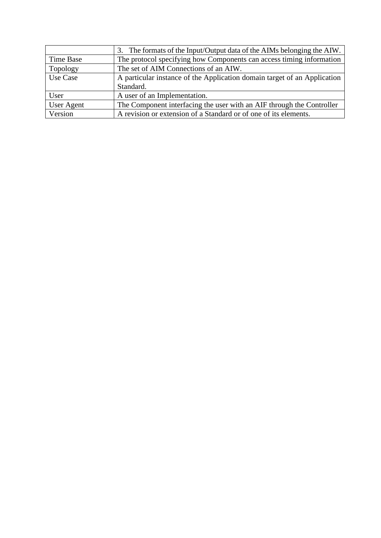|                   | 3. The formats of the Input/Output data of the AIMs belonging the AIW.   |
|-------------------|--------------------------------------------------------------------------|
| Time Base         | The protocol specifying how Components can access timing information     |
| Topology          | The set of AIM Connections of an AIW.                                    |
| Use Case          | A particular instance of the Application domain target of an Application |
|                   | Standard.                                                                |
| User              | A user of an Implementation.                                             |
| <b>User Agent</b> | The Component interfacing the user with an AIF through the Controller    |
| Version           | A revision or extension of a Standard or of one of its elements.         |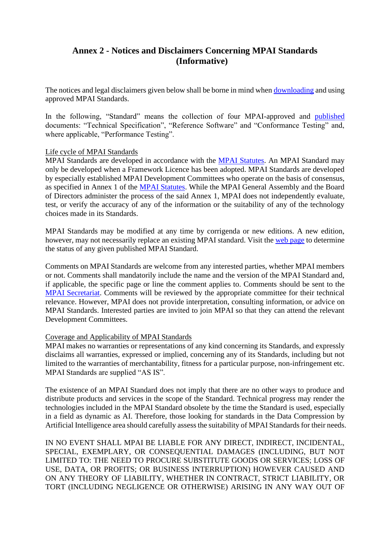# <span id="page-34-0"></span>**Annex 2 - Notices and Disclaimers Concerning MPAI Standards (Informative)**

The notices and legal disclaimers given below shall be borne in mind when [downloading](https://www.mpai.community/resources/) and using approved MPAI Standards.

In the following, "Standard" means the collection of four MPAI-approved and [published](https://www.mpai.community/resources/) documents: "Technical Specification", "Reference Software" and "Conformance Testing" and, where applicable, "Performance Testing".

#### Life cycle of MPAI Standards

MPAI Standards are developed in accordance with the [MPAI Statutes.](https://mpai.community/statutes/) An MPAI Standard may only be developed when a Framework Licence has been adopted. MPAI Standards are developed by especially established MPAI Development Committees who operate on the basis of consensus, as specified in Annex 1 of the [MPAI Statutes.](https://mpai.community/statutes/) While the MPAI General Assembly and the Board of Directors administer the process of the said Annex 1, MPAI does not independently evaluate, test, or verify the accuracy of any of the information or the suitability of any of the technology choices made in its Standards.

MPAI Standards may be modified at any time by corrigenda or new editions. A new edition, however, may not necessarily replace an existing MPAI standard. Visit the [web page](https://mpai.community/resources/) to determine the status of any given published MPAI Standard.

Comments on MPAI Standards are welcome from any interested parties, whether MPAI members or not. Comments shall mandatorily include the name and the version of the MPAI Standard and, if applicable, the specific page or line the comment applies to. Comments should be sent to the [MPAI Secretariat.](mailto:secretariat@mpai.community) Comments will be reviewed by the appropriate committee for their technical relevance. However, MPAI does not provide interpretation, consulting information, or advice on MPAI Standards. Interested parties are invited to join MPAI so that they can attend the relevant Development Committees.

#### Coverage and Applicability of MPAI Standards

MPAI makes no warranties or representations of any kind concerning its Standards, and expressly disclaims all warranties, expressed or implied, concerning any of its Standards, including but not limited to the warranties of merchantability, fitness for a particular purpose, non-infringement etc. MPAI Standards are supplied "AS IS".

The existence of an MPAI Standard does not imply that there are no other ways to produce and distribute products and services in the scope of the Standard. Technical progress may render the technologies included in the MPAI Standard obsolete by the time the Standard is used, especially in a field as dynamic as AI. Therefore, those looking for standards in the Data Compression by Artificial Intelligence area should carefully assess the suitability of MPAI Standards for their needs.

IN NO EVENT SHALL MPAI BE LIABLE FOR ANY DIRECT, INDIRECT, INCIDENTAL, SPECIAL, EXEMPLARY, OR CONSEQUENTIAL DAMAGES (INCLUDING, BUT NOT LIMITED TO: THE NEED TO PROCURE SUBSTITUTE GOODS OR SERVICES; LOSS OF USE, DATA, OR PROFITS; OR BUSINESS INTERRUPTION) HOWEVER CAUSED AND ON ANY THEORY OF LIABILITY, WHETHER IN CONTRACT, STRICT LIABILITY, OR TORT (INCLUDING NEGLIGENCE OR OTHERWISE) ARISING IN ANY WAY OUT OF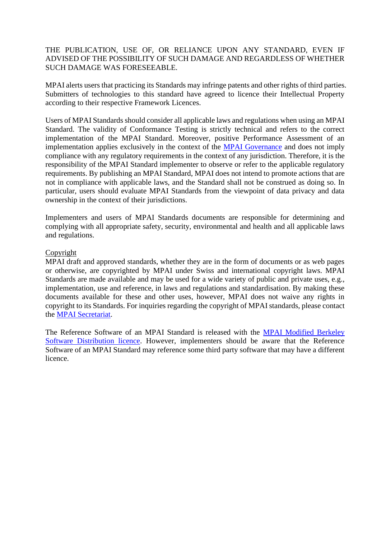#### THE PUBLICATION, USE OF, OR RELIANCE UPON ANY STANDARD, EVEN IF ADVISED OF THE POSSIBILITY OF SUCH DAMAGE AND REGARDLESS OF WHETHER SUCH DAMAGE WAS FORESEEABLE.

MPAI alerts users that practicing its Standards may infringe patents and other rights of third parties. Submitters of technologies to this standard have agreed to licence their Intellectual Property according to their respective Framework Licences.

Users of MPAI Standards should consider all applicable laws and regulations when using an MPAI Standard. The validity of Conformance Testing is strictly technical and refers to the correct implementation of the MPAI Standard. Moreover, positive Performance Assessment of an implementation applies exclusively in the context of the [MPAI Governance](https://mpai.community/governance/) and does not imply compliance with any regulatory requirements in the context of any jurisdiction. Therefore, it is the responsibility of the MPAI Standard implementer to observe or refer to the applicable regulatory requirements. By publishing an MPAI Standard, MPAI does not intend to promote actions that are not in compliance with applicable laws, and the Standard shall not be construed as doing so. In particular, users should evaluate MPAI Standards from the viewpoint of data privacy and data ownership in the context of their jurisdictions.

Implementers and users of MPAI Standards documents are responsible for determining and complying with all appropriate safety, security, environmental and health and all applicable laws and regulations.

#### Copyright

MPAI draft and approved standards, whether they are in the form of documents or as web pages or otherwise, are copyrighted by MPAI under Swiss and international copyright laws. MPAI Standards are made available and may be used for a wide variety of public and private uses, e.g., implementation, use and reference, in laws and regulations and standardisation. By making these documents available for these and other uses, however, MPAI does not waive any rights in copyright to its Standards. For inquiries regarding the copyright of MPAI standards, please contact the [MPAI Secretariat.](mailto:secretariat@mpai.community)

The Reference Software of an MPAI Standard is released with the [MPAI Modified Berkeley](https://mpai.community/about/licence/)  [Software Distribution licence.](https://mpai.community/about/licence/) However, implementers should be aware that the Reference Software of an MPAI Standard may reference some third party software that may have a different licence.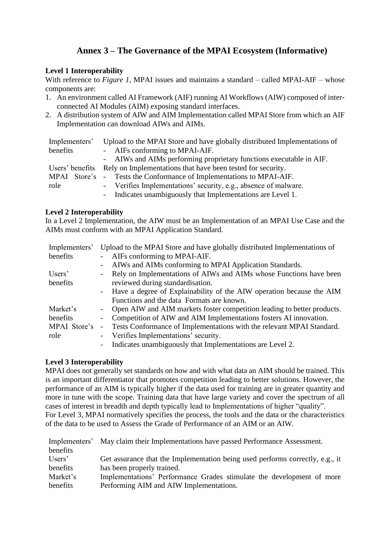# **Annex 3 – The Governance of the MPAI Ecosystem (Informative)**

#### <span id="page-36-0"></span>**Level 1 Interoperability**

With reference to *[Figure 1](#page-3-1)*, MPAI issues and maintains a standard – called MPAI-AIF – whose components are:

- 1. An environment called AI Framework (AIF) running AI Workflows (AIW) composed of interconnected AI Modules (AIM) exposing standard interfaces.
- 2. A distribution system of AIW and AIM Implementation called MPAI Store from which an AIF Implementation can download AIWs and AIMs.

| Implementers' | Upload to the MPAI Store and have globally distributed Implementations of   |
|---------------|-----------------------------------------------------------------------------|
| benefits      | - AIFs conforming to MPAI-AIF.                                              |
|               | - AIWs and AIMs performing proprietary functions executable in AIF.         |
|               | Users' benefits Rely on Implementations that have been tested for security. |
|               | MPAI Store's - Tests the Conformance of Implementations to MPAI-AIF.        |
| role          | - Verifies Implementations' security, e.g., absence of malware.             |
|               | - Indicates unambiguously that Implementations are Level 1.                 |

#### **Level 2 Interoperability**

In a Level 2 Implementation, the AIW must be an Implementation of an MPAI Use Case and the AIMs must conform with an MPAI Application Standard.

| Implementers' |                          | Upload to the MPAI Store and have globally distributed Implementations of |
|---------------|--------------------------|---------------------------------------------------------------------------|
| benefits      |                          | AIFs conforming to MPAI-AIF.                                              |
|               | $\overline{\phantom{0}}$ | AIWs and AIMs conforming to MPAI Application Standards.                   |
| Users'        | $\overline{\phantom{0}}$ | Rely on Implementations of AIWs and AIMs whose Functions have been        |
| benefits      |                          | reviewed during standardisation.                                          |
|               |                          | - Have a degree of Explainability of the AIW operation because the AIM    |
|               |                          | Functions and the data Formats are known.                                 |
| Market's      |                          | Open AIW and AIM markets foster competition leading to better products.   |
| benefits      |                          | Competition of AIW and AIM Implementations fosters AI innovation.         |
| MPAI Store's  | $\overline{\phantom{0}}$ | Tests Conformance of Implementations with the relevant MPAI Standard.     |
| role          | $\sim$                   | Verifies Implementations' security.                                       |
|               | -                        | Indicates unambiguously that Implementations are Level 2.                 |

#### **Level 3 Interoperability**

MPAI does not generally set standards on how and with what data an AIM should be trained. This is an important differentiator that promotes competition leading to better solutions. However, the performance of an AIM is typically higher if the data used for training are in greater quantity and more in tune with the scope. Training data that have large variety and cover the spectrum of all cases of interest in breadth and depth typically lead to Implementations of higher "quality". For Level 3, MPAI normatively specifies the process, the tools and the data or the characteristics of the data to be used to Assess the Grade of Performance of an AIM or an AIW.

|          | Implementers' May claim their Implementations have passed Performance Assessment. |
|----------|-----------------------------------------------------------------------------------|
| benefits |                                                                                   |
| Users'   | Get assurance that the Implementation being used performs correctly, e.g., it     |
| benefits | has been properly trained.                                                        |
| Market's | Implementations' Performance Grades stimulate the development of more             |
| benefits | Performing AIM and AIW Implementations.                                           |